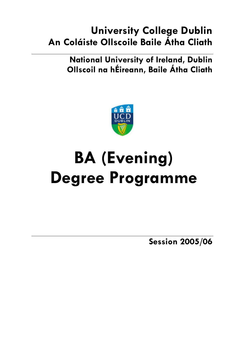## **University College Dublin An Coláiste Ollscoile Baile Átha Cliath**

**National University of Ireland, Dublin Ollscoil na hÉireann, Baile Átha Cliath** 



# **BA (Evening) Degree Programme**

**Session 2005/06**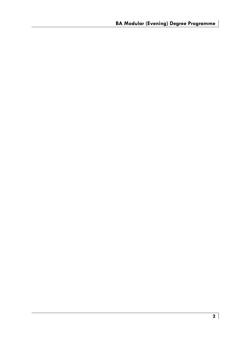$\overline{\phantom{a}}$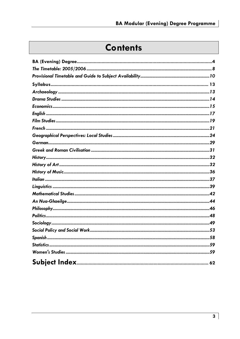## **Contents**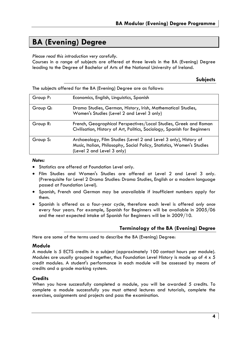## **BA (Evening) Degree**

*Please read this introduction very carefully.* 

Courses in a range of subjects are offered at three levels in the BA (Evening) Degree leading to the Degree of Bachelor of Arts of the National University of Ireland.

## **Subjects**

The subjects offered for the BA (Evening) Degree are as follows:

| Group P: | Economics, English, Linguistics, Spanish                                                                                                                                 |
|----------|--------------------------------------------------------------------------------------------------------------------------------------------------------------------------|
| Group Q: | Drama Studies, German, History, Irish, Mathematical Studies,<br>Women's Studies (Level 2 and Level 3 only)                                                               |
| Group R: | French, Geographical Perspectives/Local Studies, Greek and Roman<br>Civilisation, History of Art, Politics, Sociology, Spanish for Beginners                             |
| Group S: | Archaeology, Film Studies (Level 2 and Level 3 only), History of<br>Music, Italian, Philosophy, Social Policy, Statistics, Women's Studies<br>(Level 2 and Level 3 only) |

## *Notes:*

- Statistics are offered at Foundation Level only.
- Film Studies and Women's Studies are offered at Level 2 and Level 3 only. (Prerequisite for Level 2 Drama Studies: Drama Studies, English or a modern language passed at Foundation Level).
- Spanish, French and German may be unavailable if insufficient numbers apply for them.
- Spanish is offered as a four-year cycle, therefore each level is offered *only once* every four years. For example, Spanish for Beginners will be available in 2005/06 and the next expected intake of Spanish for Beginners will be in 2009/10.

## **Terminology of the BA (Evening) Degree**

Here are some of the terms used to describe the BA (Evening) Degree:

## **Module**

A module is 5 ECTS credits in a subject (approximately 100 contact hours per module). Modules are usually grouped together, thus Foundation Level History is made up of  $4 \times 5$ credit modules. A student's performance in each module will be assessed by means of credits and a grade marking system.

## **Credits**

When you have successfully completed a module, you will be awarded 5 credits. To complete a module successfully you must attend lectures and tutorials, complete the exercises, assignments and projects and pass the examination.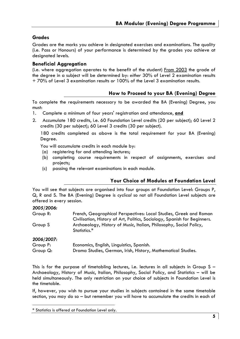## **Grades**

Grades are the marks you achieve in designated exercises and examinations. The quality (i.e. Pass or Honours) of your performance is determined by the grades you achieve at designated levels.

## **Beneficial Aggregation**

(i.e. where aggregation operates to the benefit of the student) From 2003 the grade of the degree in a subject will be determined by: *either* 30% of Level 2 examination results + 70% of Level 3 examination results *or* 100% of the Level 3 examination results.

## **How to Proceed to your BA (Evening) Degree**

To complete the requirements necessary to be awarded the BA (Evening) Degree, you must:

- 1. Complete a minimum of four years' registration and attendance, **and**
- 2. Accumulate 180 credits, i.e. 60 Foundation Level credits (20 per subject); 60 Level 2 credits (30 per subject); 60 Level 3 credits (30 per subject).

180 credits completed as above is the total requirement for your BA (Evening) Degree.

You will accumulate credits in each module by:

- (a) registering for and attending lectures;
- (b) completing course requirements in respect of assignments, exercises and projects;
- (c) passing the relevant examinations in each module.

## **Your Choice of Modules at Foundation Level**

You will see that subjects are organised into four groups at Foundation Level: Groups P, Q, R and S. The BA (Evening) Degree is *cyclical* so not all Foundation Level subjects are offered in every session.

## *2005/2006:*

| Group R: | French, Geographical Perspectives: Local Studies, Greek and Roman                  |
|----------|------------------------------------------------------------------------------------|
|          | Civilisation, History of Art, Politics, Sociology, Spanish for Beginners.          |
| Group S  | Archaeology, History of Music, Italian, Philosophy, Social Policy,<br>Statistics.* |
|          |                                                                                    |

## *2006/2007:*

| Group P: | Economics, English, Linguistics, Spanish.                    |
|----------|--------------------------------------------------------------|
| Group Q: | Drama Studies, German, Irish, History, Mathematical Studies. |

This is for the purpose of timetabling lectures, i.e. lectures in all subjects in Group S – Archaeology, History of Music, Italian, Philosophy, Social Policy, and Statistics – will be held simultaneously. The only restriction on your choice of subjects in Foundation Level is the timetable.

If, however, you wish to pursue your studies in subjects contained in the same timetable section, you may do so – but remember you will have to accumulate the credits in each of

<sup>\*</sup> Statistics is offered at Foundation Level only.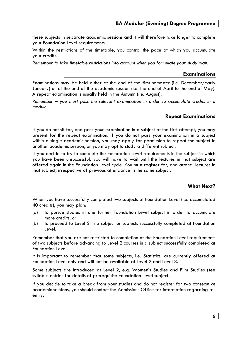these subjects in separate academic sessions and it will therefore take longer to complete your Foundation Level requirements.

Within the restrictions of the timetable, you control the pace at which you accumulate your credits.

*Remember to take timetable restrictions into account when you formulate your study plan.* 

## **Examinations**

Examinations may be held either at the end of the first semester (i.e. December/early January) or at the end of the academic session (i.e. the end of April to the end of May). A repeat examination is usually held in the Autumn (i.e. August).

*Remember – you must pass the relevant examination in order to accumulate credits in a module.*

## **Repeat Examinations**

If you do not sit for, and pass your examination in a subject at the first attempt, you may present for the repeat examination. If you do not pass your examination in a subject within a single academic session, you may apply for permission to repeat the subject in another academic session, or you may opt to study a different subject.

If you decide to try to complete the Foundation Level requirements in the subject in which you have been unsuccessful, you will have to wait until the lectures in that subject are offered again in the Foundation Level cycle. You must register for, and attend, lectures in that subject, irrespective of previous attendance in the same subject*.*

## **What Next?**

When you have successfully completed two subjects at Foundation Level (i.e. accumulated 40 credits), you may plan:

- (a) to pursue studies in one further Foundation Level subject in order to accumulate more credits, *or*
- (b) to proceed to Level 2 in a subject or subjects successfully completed at Foundation Level.

Remember that you are not restricted to completion of the Foundation Level requirements of two subjects before advancing to Level 2 courses in a subject successfully completed at Foundation Level.

It is important to remember that some subjects, i.e. Statistics, are currently offered at Foundation Level only and will not be available at Level 2 and Level 3.

Some subjects are introduced at Level 2, e.g. Women's Studies and Film Studies (see syllabus entries for details of prerequisite Foundation Level subject).

If you decide to take a break from your studies and do not register for two consecutive academic sessions, you should contact the Admissions Office for information regarding reentry.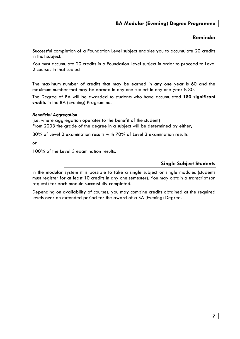## **Reminder**

Successful completion of a Foundation Level subject enables you to accumulate 20 credits in that subject.

You must accumulate 20 credits in a Foundation Level subject in order to proceed to Level 2 courses in that subject.

The maximum number of credits that may be earned in any one year is 60 and the maximum number that may be earned in any one subject in any one year is 30.

The Degree of BA will be awarded to students who have accumulated **180 significant credits** in the BA (Evening) Programme.

## *Beneficial Aggregation*

(i.e. where aggregation operates to the benefit of the student) From 2003 the grade of the degree in a subject will be determined by either;

30% of Level 2 examination results with 70% of Level 3 examination results

*or*

100% of the Level 3 examination results.

## **Single Subject Students**

In the modular system it is possible to take a single subject or single modules (students must register for at least 10 credits in any one semester). You may obtain a transcript (on request) for each module successfully completed.

Depending on availability of courses, you may combine credits obtained at the required levels over an extended period for the award of a BA (Evening) Degree.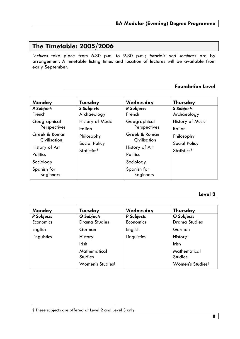## **The Timetable: 2005/2006**

*Lectures* take place from 6.30 p.m. to 9.30 p.m.; *tutorials and seminars* are by arrangement. A timetable listing times and location of lectures will be available from early September.

## **Foundation Level**

| Monday                                                                                                                                             | Tuesday                                                                   | Wednesday                                                                                                                                          | Thursday                                                                  |
|----------------------------------------------------------------------------------------------------------------------------------------------------|---------------------------------------------------------------------------|----------------------------------------------------------------------------------------------------------------------------------------------------|---------------------------------------------------------------------------|
| <b>R</b> Subjects                                                                                                                                  | <b>S</b> Subjects                                                         | <b>R</b> Subjects                                                                                                                                  | <b>S</b> Subjects                                                         |
| French                                                                                                                                             | Archaeology                                                               | French                                                                                                                                             | Archaeology                                                               |
| Geographical<br>Perspectives<br>Greek & Roman<br>Civilisation<br>History of Art<br><b>Politics</b><br>Sociology<br>Spanish for<br><b>Beginners</b> | History of Music<br>Italian<br>Philosophy<br>Social Policy<br>Statistics* | Geographical<br>Perspectives<br>Greek & Roman<br>Civilisation<br>History of Art<br><b>Politics</b><br>Sociology<br>Spanish for<br><b>Beginners</b> | History of Music<br>Italian<br>Philosophy<br>Social Policy<br>Statistics* |

## **Level 2**

| Monday                  | Tuesday                            | Wednesday               | Thursday                           |
|-------------------------|------------------------------------|-------------------------|------------------------------------|
| P Subjects<br>Economics | Q Subjects<br><b>Drama Studies</b> | P Subjects<br>Economics | Q Subjects<br><b>Drama Studies</b> |
| English                 | German                             | English                 | German                             |
| Linguistics             | History                            | Linguistics             | History                            |
|                         | Irish                              |                         | Irish                              |
|                         | Mathematical<br><b>Studies</b>     |                         | Mathematical<br><b>Studies</b>     |
|                         | Women's Studies <sup>†</sup>       |                         | Women's Studies <sup>†</sup>       |

<sup>†</sup> These subjects are offered at Level 2 and Level 3 only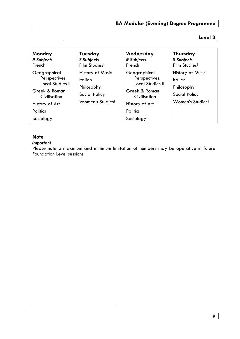## **Level 3**

| Monday                                                                                                                        | Tuesday                                                                        | Wednesday                                                                                                                            | Thursday                                                                       |
|-------------------------------------------------------------------------------------------------------------------------------|--------------------------------------------------------------------------------|--------------------------------------------------------------------------------------------------------------------------------------|--------------------------------------------------------------------------------|
| <b>R</b> Subjects                                                                                                             | <b>S</b> Subjects                                                              | <b>R</b> Subjects                                                                                                                    | <b>S</b> Subjects                                                              |
| French                                                                                                                        | Film Studiest                                                                  | French                                                                                                                               | Film Studiest                                                                  |
| Geographical<br>Perspectives:<br>Local Studies II<br>Greek & Roman<br>Civilisation<br>History of Art<br>Politics<br>Sociology | History of Music<br>Italian<br>Philosophy<br>Social Policy<br>Women's Studiest | Geographical<br>Perspectives:<br>Local Studies II<br>Greek & Roman<br>Civilisation<br>History of Art<br><b>Politics</b><br>Sociology | History of Music<br>Italian<br>Philosophy<br>Social Policy<br>Women's Studiest |

## **Note**

## *Important*

Please note a maximum and minimum limitation of numbers may be operative in future Foundation Level sessions.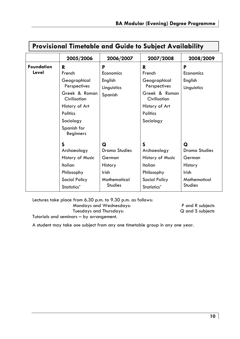|                            | <b>Provisional Timetable and Guide to Subject Availability</b>                                                                                             |                                                                                           |                                                                                                                                |                                                                                    |
|----------------------------|------------------------------------------------------------------------------------------------------------------------------------------------------------|-------------------------------------------------------------------------------------------|--------------------------------------------------------------------------------------------------------------------------------|------------------------------------------------------------------------------------|
|                            | 2005/2006                                                                                                                                                  | 2006/2007                                                                                 | 2007/2008                                                                                                                      | 2008/2009                                                                          |
| <b>Foundation</b><br>Level | R<br>French<br>Geographical<br>Perspectives<br>Greek & Roman<br>Civilisation<br>History of Art<br>Politics<br>Sociology<br>Spanish for<br><b>Beginners</b> | P<br>Economics<br>English<br>Linguistics<br>Spanish                                       | R<br>French<br>Geographical<br>Perspectives<br>Greek & Roman<br>Civilisation<br>History of Art<br><b>Politics</b><br>Sociology | P<br>Economics<br>English<br>Linguistics                                           |
|                            | S<br>Archaeology<br>History of Music<br>Italian<br>Philosophy<br>Social Policy<br>Statistics <sup>*</sup>                                                  | Q<br><b>Drama Studies</b><br>German<br>History<br>Irish<br>Mathematical<br><b>Studies</b> | S<br>Archaeology<br>History of Music<br>Italian<br>Philosophy<br>Social Policy<br>Statistics <sup>*</sup>                      | ۵<br>Drama Studies<br>German<br>History<br>Irish<br>Mathematical<br><b>Studies</b> |

Lectures take place from 6.30 p.m. to 9.30 p.m. as follows:

Tuesdays and Thursdays:

Mondays and Wednesdays: The Same P and R subjects<br>
P and R subjects<br>
P and S subjects

Tutorials and seminars – by arrangement.

A student may take *one* subject from any one timetable group in any one year.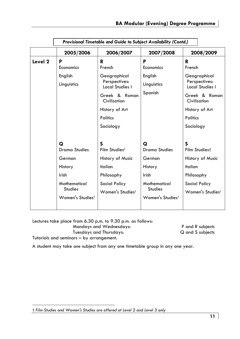|         | Provisional Timetable and Guide to Subject Availability (Contd.)                                              |                                                                                                      |                                                                                                                             |                                                                                                                  |
|---------|---------------------------------------------------------------------------------------------------------------|------------------------------------------------------------------------------------------------------|-----------------------------------------------------------------------------------------------------------------------------|------------------------------------------------------------------------------------------------------------------|
|         | 2005/2006                                                                                                     | 2006/2007                                                                                            | 2007/2008                                                                                                                   | 2008/2009                                                                                                        |
| Level 2 | P<br>Economics<br>English<br>Linguistics                                                                      | R<br>French<br>Geographical<br>Perspectives:<br>Local Studies I                                      | P<br>Economics<br>English<br>Linguistics<br>Spanish                                                                         | R<br>French<br>Geographical<br>Perspectives:<br>Local Studies I                                                  |
|         |                                                                                                               | Greek & Roman<br>Civilisation<br>History of Art<br>Politics<br>Sociology                             |                                                                                                                             | Greek & Roman<br>Civilisation<br>History of Art<br><b>Politics</b><br>Sociology                                  |
|         | Ο<br><b>Drama Studies</b><br>German<br>History<br>Irish<br>Mathematical<br><b>Studies</b><br>Women's Studiest | S<br>Film Studiest<br>History of Music<br>Italian<br>Philosophy<br>Social Policy<br>Women's Studiest | ۵<br><b>Drama Studies</b><br>German<br><b>History</b><br><b>Irish</b><br>Mathematical<br><b>Studies</b><br>Women's Studiest | S<br>Film Studiest<br>History of Music<br>Italian<br>Philosophy<br>Social Policy<br>Women's Studies <sup>†</sup> |

Lectures take place from 6.30 p.m. to 9.30 p.m. as follows: Mondays and Wednesdays: P and R subjects Tuesdays and Thursdays: Q and S subjects Tutorials and seminars – by arrangement.

A student may take *one* subject from any one timetable group in any one year.

<sup>†</sup> *Film Studies and Women's Studies are offered at Level 2 and Level 3 only*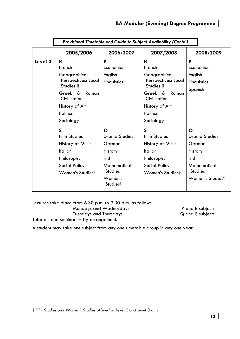|         |                                                                                                                                                     |                                                                                                                              | Provisional Timetable and Guide to Subject Availability (Contd.)                                                                                    |                                                                                                                           |
|---------|-----------------------------------------------------------------------------------------------------------------------------------------------------|------------------------------------------------------------------------------------------------------------------------------|-----------------------------------------------------------------------------------------------------------------------------------------------------|---------------------------------------------------------------------------------------------------------------------------|
|         | 2005/2006                                                                                                                                           | 2006/2007                                                                                                                    | 2007/2008                                                                                                                                           | 2008/2009                                                                                                                 |
| Level 3 | R<br>French<br>Geographical<br>Perspectives: Local<br>Studies II<br>Greek & Roman<br>Civilisation<br>History of Art<br><b>Politics</b><br>Sociology | Р<br>Economics<br>English<br>Linguistics                                                                                     | R<br>French<br>Geographical<br>Perspectives: Local<br>Studies II<br>Greek & Roman<br>Civilisation<br>History of Art<br><b>Politics</b><br>Sociology | P<br>Economics<br>English<br>Linguistics<br>Spanish                                                                       |
|         | S<br>Film Studiest<br>History of Music<br>Italian<br>Philosophy<br>Social Policy<br>Women's Studiest                                                | Q<br>Drama Studies<br>German<br>History<br><b>Irish</b><br>Mathematical<br><b>Studies</b><br>Women's<br>Studies <sup>†</sup> | S<br>Film Studiest<br>History of Music<br>Italian<br>Philosophy<br>Social Policy<br>Women's Studiest                                                | Q<br>Drama Studies<br>German<br>History<br><b>Irish</b><br>Mathematical<br><b>Studies</b><br>Women's Studies <sup>†</sup> |

| Lectures take place from 6.30 p.m. to 9.30 p.m. as follows: |                  |
|-------------------------------------------------------------|------------------|
| Mondays and Wednesdays:                                     | P and R subjects |
| Tuesdays and Thursdays:                                     | Q and S subjects |
| Tutorials and seminars – by arrangement.                    |                  |

A student may take *one* subject from any one timetable group in any one year.

<sup>†</sup> *Film Studies and Women's Studies offered at Level 2 and Level 3 only*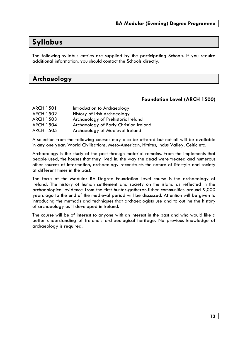## **Syllabus**

The following syllabus entries are supplied by the participating Schools. If you require additional information, you should contact the Schools directly.

## **Archaeology**

## **Foundation Level (ARCH 1500)**

| <b>ARCH 1501</b> | Introduction to Archaeology            |
|------------------|----------------------------------------|
| <b>ARCH 1502</b> | History of Irish Archaeology           |
| <b>ARCH 1503</b> | Archaeology of Prehistoric Ireland     |
| <b>ARCH 1504</b> | Archaeology of Early Christian Ireland |
| <b>ARCH 1505</b> | Archaeology of Medieval Ireland        |

A selection from the following courses may also be offered but not all will be available in any one year: World Civilisations, Meso-American, Hittites, Indus Valley, Celtic etc.

Archaeology is the study of the past through material remains. From the implements that people used, the houses that they lived in, the way the dead were treated and numerous other sources of information, archaeology reconstructs the nature of lifestyle and society at different times in the past.

The focus of the Modular BA Degree Foundation Level course is the archaeology of Ireland. The history of human settlement and society on the island as reflected in the archaeological evidence from the first hunter-gatherer-fisher communities around 9,000 years ago to the end of the medieval period will be discussed. Attention will be given to introducing the methods and techniques that archaeologists use and to outline the history of archaeology as it developed in Ireland.

The course will be of interest to anyone with an interest in the past and who would like a better understanding of Ireland's archaeological heritage. No previous knowledge of archaeology is required.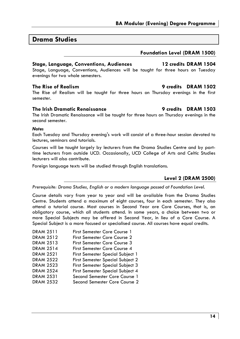## **Drama Studies**

## **Foundation Level (DRAM 1500)**

## **Stage, Language, Conventions, Audiences 12 credits DRAM 1504**

Stage, Language, Conventions, Audiences will be taught for three hours on Tuesday evenings for two whole semesters.

The Rise of Realism will be taught for three hours on Thursday evenings in the first semester.

## **The Irish Dramatic Renaissance 9 credits DRAM 1503**

The Irish Dramatic Renaissance will be taught for three hours on Thursday evenings in the second semester.

## *Notes*

Each Tuesday and Thursday evening's work will consist of a three-hour session devoted to lectures, seminars and tutorials.

Courses will be taught largely by lecturers from the Drama Studies Centre and by parttime lecturers from outside UCD. Occasionally, UCD College of Arts and Celtic Studies lecturers will also contribute.

Foreign language texts will be studied through English translations.

## **Level 2 (DRAM 2500)**

*Prerequisite: Drama Studies, English or a modern language passed at Foundation Level.* 

Course details vary from year to year and will be available from the Drama Studies Centre. Students attend a maximum of eight courses, four in each semester. They also attend a tutorial course. Most courses in Second Year are Core Courses, that is, an obligatory course, which all students attend. In some years, a choice between two or more Special Subjects may be offered in Second Year, in lieu of a Core Course. A Special Subject is a more focused or specialised course. All courses have equal credits.

| <b>DRAM 2511</b> | First Semester Core Course 1            |
|------------------|-----------------------------------------|
| <b>DRAM 2512</b> | First Semester Core Course 2            |
| <b>DRAM 2513</b> | <b>First Semester Core Course 3</b>     |
| <b>DRAM 2514</b> | First Semester Core Course 4            |
| <b>DRAM 2521</b> | <b>First Semester Special Subject 1</b> |
| <b>DRAM 2522</b> | <b>First Semester Special Subject 2</b> |
| <b>DRAM 2523</b> | <b>First Semester Special Subject 3</b> |
| <b>DRAM 2524</b> | <b>First Semester Special Subject 4</b> |
| <b>DRAM 2531</b> | Second Semester Core Course 1           |
| <b>DRAM 2532</b> | Second Semester Core Course 2           |

## **The Rise of Realism 9 credits DRAM 1502**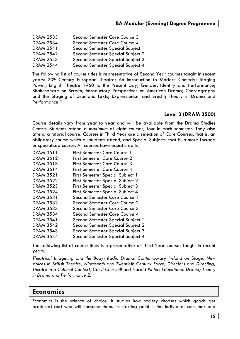- DRAM 2533 Second Semester Core Course 3 DRAM 2534 Second Semester Core Course 4 DRAM 2541 Second Semester Special Subject 1 DRAM 2542 Second Semester Special Subject 2 DRAM 2543 Second Semester Special Subject 3 DRAM 2544 Second Semester Special Subject 4
- The following list of course titles is representative of Second Year courses taught in recent

years: 20<sup>th</sup> Century European Theatre; An Introduction to Modern Comedy; Staging Power; English Theatre 1950 to the Present Day; Gender, Identity and Performance; Shakespeare on Screen; Introductory Perspectives on American Drama; Choreography and the Staging of Dramatic Texts; Expressionism and Brecht; Theory in Drama and Performance 1.

## **Level 3 (DRAM 3500)**

Course details vary from year to year and will be available from the Drama Studies Centre. Students attend a *maximum* of eight courses, four in each semester. They also attend a tutorial course. Courses in Third Year are a selection of Core Courses, that is, an obligatory course which all students attend, and Special Subjects, that is, a more focused or specialised course. All courses have equal credits.

| <b>DRAM 3511</b> | <b>First Semester Core Course 1</b>     |
|------------------|-----------------------------------------|
| <b>DRAM 3512</b> | <b>First Semester Core Course 2</b>     |
| <b>DRAM 3513</b> | <b>First Semester Core Course 3</b>     |
| <b>DRAM 3514</b> | First Semester Core Course 4            |
| <b>DRAM 3521</b> | <b>First Semester Special Subject 1</b> |
| <b>DRAM 3522</b> | <b>First Semester Special Subject 2</b> |
| <b>DRAM 3523</b> | <b>First Semester Special Subject 3</b> |
| <b>DRAM 3524</b> | First Semester Special Subject 4        |
| <b>DRAM 3531</b> | Second Semester Core Course 1           |
| <b>DRAM 3532</b> | Second Semester Core Course 2           |
| <b>DRAM 3533</b> | Second Semester Core Course 3           |
| <b>DRAM 3534</b> | Second Semester Core Course 4           |
| <b>DRAM 3541</b> | Second Semester Special Subject 1       |
| <b>DRAM 3542</b> | Second Semester Special Subject 2       |
| <b>DRAM 3543</b> | Second Semester Special Subject 3       |
| DRAM 3544        | Second Semester Special Subject 4       |
|                  |                                         |

The following list of course titles is representative of Third Year courses taught in recent years:

*Theatrical Imagining and the Body; Radio Drama; Contemporary Ireland on Stage; New Voices in British Theatre; Nineteenth and Twentieth Century Farce; Directors and Directing; Theatre in a Cultural Context; Caryl Churchill and Harold Pinter; Educational Drama; Theory in Drama and Performance 2.* 

## **Economics**

Economics is the science of choice. It studies how society chooses which goods get produced and who will consume them. Its starting point is the individual consumer and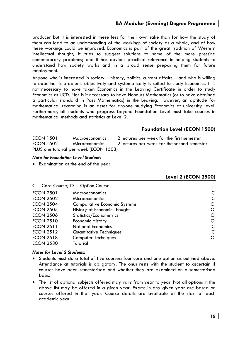producer but it is interested in these less for their own sake than for how the study of them can lead to an understanding of the workings of society as a whole, and of how these workings could be improved. Economics is part of the great tradition of Western intellectual thought; it tries to suggest solutions to some of the more pressing contemporary problems; and it has obvious practical relevance in helping students to understand how society works and in a broad sense preparing them for future employment.

Anyone who is interested in society – history, politics, current affairs – and who is willing to examine its problems objectively and systematically is suited to study Economics. It is not necessary to have taken Economics in the Leaving Certificate in order to study Economics at UCD. Nor is it necessary to have Honours Mathematics (or to have obtained a particular standard in Pass Mathematics) in the Leaving. However, an aptitude for mathematical reasoning is an asset for anyone studying Economics at university level. Furthermore, all students who progress beyond Foundation Level must take courses in mathematical methods and statistics at Level 2.

## **Foundation Level (ECON 1500)**

ECON 1501 Macroeconomics 2 lectures per week for the first semester ECON 1502 Microeconomics 2 lectures per week for the second semester PLUS one tutorial per week (ECON 1503)

## *Note for Foundation Level Students*

• Examination at the end of the year.

|                  |                                      | Level 2 (ECON 2500) |
|------------------|--------------------------------------|---------------------|
|                  | $C = Core Course; O = Option Course$ |                     |
| <b>ECON 2501</b> | Macroeconomics                       |                     |
| <b>ECON 2502</b> | Microeconomics                       |                     |
| <b>ECON 2504</b> | <b>Comparative Economic Systems</b>  |                     |
| <b>ECON 2505</b> | History of Economic Thought          |                     |
| <b>ECON 2506</b> | Statistics/Econometrics              |                     |
| <b>ECON 2510</b> | <b>Economic History</b>              |                     |
| <b>ECON 2511</b> | <b>National Economics</b>            |                     |
| <b>ECON 2512</b> | Quantitative Techniques              |                     |
| <b>ECON 2518</b> | Computer Techniques                  |                     |
| <b>ECON 2530</b> | Tutorial                             |                     |

## *Notes for Level 2 Students:*

- Students must do a total of five courses: four core and one option as outlined above. Attendance at tutorials is obligatory. The onus rests with the student to ascertain if courses have been semesterised and whether they are examined on a semesterised basis.
- The list of optional subjects offered may vary from year to year. Not all options in the above list may be offered in a given year. Exams in any given year are based on courses offered in that year. Course details are available at the start of each academic year.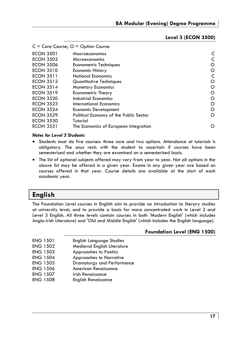## **Level 3 (ECON 3500)**

|                  | $C = Core Course; O = Option Course$   |   |
|------------------|----------------------------------------|---|
| <b>ECON 3501</b> | <b>Macroeconomics</b>                  | C |
| <b>ECON 3502</b> | Microeconomics                         | C |
| <b>ECON 3506</b> | Econometric Techniques                 | O |
| <b>ECON 3510</b> | <b>Economic History</b>                | O |
| <b>ECON 3511</b> | <b>National Economics</b>              | C |
| <b>ECON 3512</b> | Quantitative Techniques                | O |
| <b>ECON 3514</b> | <b>Monetary Economics</b>              | O |
| <b>ECON 3519</b> | <b>Econometric Theory</b>              | O |
| <b>ECON 3520</b> | <b>Industrial Economics</b>            | O |
| <b>ECON 3523</b> | International Economics                | O |
| <b>ECON 3524</b> | Economic Development                   | O |
| <b>ECON 3529</b> | Political Economy of the Public Sector | O |
| <b>ECON 3530</b> | Tutorial                               |   |
| <b>ECON 3531</b> | The Economics of European Integration  | ∩ |
|                  |                                        |   |

## *Notes for Level 3 Students:*

- Students must do five courses: three core and two options. Attendance at tutorials is obligatory. The onus rests with the student to ascertain if courses have been semesterised and whether they are examined on a semesterised basis.
- The list of optional subjects offered may vary from year to year. Not all options in the above list may be offered in a given year. Exams in any given year are based on courses offered in that year. Course details are available at the start of each academic year.

## **English**

The Foundation Level courses in English aim to provide an introduction to literary studies at university level, and to provide a basis for more concentrated work in Level 2 and Level 3 English. All three levels contain courses in both 'Modern English' (which includes Anglo-Irish Literature) and 'Old and Middle English' (which includes the English language).

## **Foundation Level (ENG 1500)**

- ENG 1501 English Language Studies
- ENG 1502 Medieval English Literature
- ENG 1503 Approaches to Poetics
- ENG 1504 Approaches to Narrative
- ENG 1505 Dramaturgy and Performance<br>ENG 1506 American Renaissance
- American Renaissance
- ENG 1507 Irish Renaissance
- ENG 1508 English Renaissance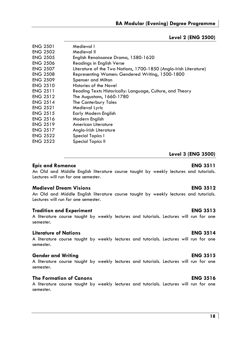## **Level 2 (ENG 2500)**

| <b>ENG 2502</b><br>Medieval II<br><b>ENG 2505</b><br>English Renaissance Drama, 1580-1620<br><b>ENG 2506</b><br><b>Readings in English Verse</b><br><b>ENG 2507</b><br>Literature of the Two Nations, 1700-1850 (Anglo-Irish Literature) |  |
|------------------------------------------------------------------------------------------------------------------------------------------------------------------------------------------------------------------------------------------|--|
|                                                                                                                                                                                                                                          |  |
|                                                                                                                                                                                                                                          |  |
|                                                                                                                                                                                                                                          |  |
|                                                                                                                                                                                                                                          |  |
| <b>ENG 2508</b><br>Representing Women: Gendered Writing, 1500-1800                                                                                                                                                                       |  |
| <b>ENG 2509</b><br>Spenser and Milton                                                                                                                                                                                                    |  |
| <b>ENG 2510</b><br>Histories of the Novel                                                                                                                                                                                                |  |
| <b>ENG 2511</b><br>Reading Texts Historically: Language, Culture, and Theory                                                                                                                                                             |  |
| <b>ENG 2512</b><br>The Augustans, 1660-1780                                                                                                                                                                                              |  |
| <b>ENG 2514</b><br>The Canterbury Tales                                                                                                                                                                                                  |  |
| <b>ENG 2521</b><br>Medieval Lyric                                                                                                                                                                                                        |  |
| <b>ENG 2515</b><br>Early Modern English                                                                                                                                                                                                  |  |
| <b>ENG 2516</b><br>Modern English                                                                                                                                                                                                        |  |
| <b>ENG 2519</b><br>American Literature                                                                                                                                                                                                   |  |
| <b>ENG 2517</b><br>Anglo-Irish Literature                                                                                                                                                                                                |  |
| <b>ENG 2522</b><br>Special Topics I                                                                                                                                                                                                      |  |
| <b>ENG 2523</b><br><b>Special Topics II</b>                                                                                                                                                                                              |  |

## **Level 3 (ENG 3500)**

## **Epic and Romance** ENG 3511

An Old and Middle English literature course taught by weekly lectures and tutorials. Lectures will run for one semester.

## **Medieval Dream Visions <b>ENG 3512**

An Old and Middle English literature course taught by weekly lectures and tutorials. Lectures will run for one semester.

## **Tradition and Experiment CONGITY ENG 3513**

A literature course taught by weekly lectures and tutorials. Lectures will run for one semester.

## **Literature of Nations ENG 3514**

A literature course taught by weekly lectures and tutorials. Lectures will run for one semester.

## **Gender and Writing ENG 3515**

A literature course taught by weekly lectures and tutorials. Lectures will run for one semester.

## **The Formation of Canons ENG 3516**

A literature course taught by weekly lectures and tutorials. Lectures will run for one semester.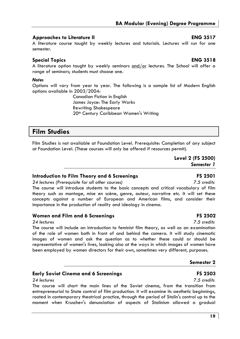## **BA Modular (Evening) Degree Programme**

## **Approaches to Literature II ENG 3517**

A literature course taught by weekly lectures and tutorials. Lectures will run for one semester.

## **Special Topics ENG 3518**

A literature option taught by weekly seminars and/or lectures. The School will offer a range of seminars; students must choose one.

## *Notes*

Options will vary from year to year. The following is a sample list of Modern English options available in 2003/2004:

> Canadian Fiction in English James Joyce: The Early Works Rewriting Shakespeare 20<sup>th</sup> Century Caribbean Women's Writing

## **Film Studies**

Film Studies is not available at Foundation Level. Prerequisite: Completion of any subject at Foundation Level. (These courses will only be offered if resources permit).

> **Level 2 (FS 2500)**  *Semester 1*

## **Introduction to Film Theory and 6 Screenings FS 2501**

*24 lectures (Prerequisite for all other courses) 7.5 credits* 

The course will introduce students to the basic concepts and critical vocabulary of film theory such as montage, mise en scène, genre, auteur, narrative etc. It will set these concepts against a number of European and American films, and consider their importance in the production of reality and ideology in cinema.

## **Women and Film and 6 Screenings FS 2502**

## *24 lectures 7.5 credits*

The course will include an introduction to feminist film theory, as well as an examination of the role of women both in front of and behind the camera. It will study cinematic images of women and ask the question as to whether these could or should be representative of women's lives, looking also at the ways in which images of women have been employed by women directors for their own, sometimes very different, purposes.

## **Semester 2**

## **Early Soviet Cinema and 6 Screenings The Contract Contract Contract Contract Contract Contract Contract Contract Contract Contract Contract Contract Contract Contract Contract Contract Contract Contract Contract Contract**

The course will chart the main lines of the Soviet cinema, from the transition from entrepreneurial to State control of film production. It will examine its aesthetic beginnings, rooted in contemporary theatrical practice, through the period of Stalin's control up to the moment when Kruschev's denunciation of aspects of Stalinism allowed a gradual

## *24 lectures 7.5 credits*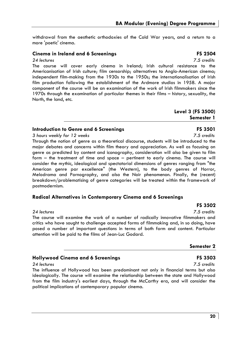withdrawal from the aesthetic orthodoxies of the Cold War years, and a return to a more 'poetic' cinema.

## **Cinema in Ireland and 6 Screenings The Contract Server Area FS 2504**

## *24 lectures 7.5 credits*

The course will cover early cinema in Ireland; Irish cultural resistance to the Americanisation of Irish culture; film censorship; alternatives to Anglo-American cinema; independent film-making from the 1930s to the 1950s; the internationalisation of Irish film production following the establishment of the Ardmore studios in 1958. A major component of the course will be an examination of the work of Irish filmmakers since the 1970s through the examination of particular themes in their films – history, sexuality, the North, the land, etc.

> **Level 3 (FS 3500) Semester 1**

## **Introduction to Genre and 6 Screenings Transform Controllery Results** FS 3501

*3 hours weekly for 12 weeks 7.5 credits*  Through the notion of genre as a theoretical discourse, students will be introduced to the major debates and concerns within film theory and appreciation. As well as focusing on genre as predicted by content and iconography, consideration will also be given to film form – the treatment of time and space – pertinent to early cinema. The course will consider the mythic, ideological and spectatorial dimensions of genres ranging from "the American genre par excellence" (the Western), to the body genres of Horror, Melodrama and Pornography, and also the Noir phenomenon. Finally, the (recent) breakdown/problematising of genre categories will be treated within the framework of postmodernism.

## **Radical Alternatives in Contemporary Cinema and 6 Screenings**

## *24 lectures 7.5 credits*

The course will examine the work of a number of radically innovative filmmakers and critics who have sought to challenge accepted forms of filmmaking and, in so doing, have posed a number of important questions in terms of both form and content. Particular attention will be paid to the films of Jean-Luc Godard.

## **Hollywood Cinema and 6 Screenings FS 3503**

The influence of Hollywood has been predominant not only in financial terms but also ideologically. The course will examine the relationship between the state and Hollywood from the film industry's earliest days, through the McCarthy era, and will consider the political implications of contemporary popular cinema.

## **FS 3502**

**Semester 2** 

*24 lectures 7.5 credits*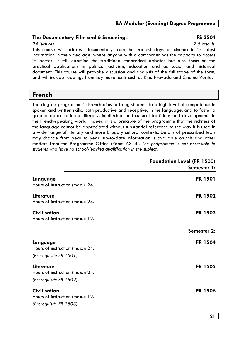## **The Documentary Film and 6 Screenings The Contract Contract Contract Contract Contract Contract Contract Contract Contract Contract Contract Contract Contract Contract Contract Contract Contract Contract Contract Contract**

*24 lectures 7.5 credits*  This course will address documentary from the earliest days of cinema to its latest incarnation in the video age, where anyone with a camcorder has the capacity to access its power. It will examine the traditional theoretical debates but also focus on the practical applications in political activism, education and as social and historical document. This course will provoke discussion and analysis of the full scope of the form, and will include readings from key movements such as Kino Pravada and Cinema Verité.

## **French**

The degree programme in French aims to bring students to a high level of competence in spoken and written skills, both productive and receptive, in the language, and to foster a greater appreciation of literary, intellectual and cultural traditions and developments in the French-speaking world. Indeed it is a principle of the programme that the richness of the language cannot be appreciated without substantial reference to the way it is used in a wide range of literary and more broadly cultural contexts. Details of prescribed texts may change from year to year; up-to-date information is available on this and other matters from the Programme Office (Room A314). *The programme is not accessible to students who have no school-leaving qualification in the subject.* 

|                                                                                    | <b>Foundation Level (FR 1500)</b><br>Semester 1: |
|------------------------------------------------------------------------------------|--------------------------------------------------|
| Language<br>Hours of instruction (max.): 24.                                       | <b>FR 1501</b>                                   |
| Literature                                                                         | FR 1502                                          |
| Hours of instruction (max.): 24.                                                   |                                                  |
| <b>Civilisation</b><br>Hours of instruction (max.): 12.                            | <b>FR 1503</b>                                   |
|                                                                                    | Semester 2:                                      |
| Language<br>Hours of instruction (max.): 24.                                       | FR 1504                                          |
| (Prerequisite FR 1501)                                                             |                                                  |
| Literature<br>Hours of instruction (max.): 24.<br>(Prerequisite FR 1502).          | FR 1505                                          |
|                                                                                    |                                                  |
| <b>Civilisation</b><br>Hours of instruction (max.): 12.<br>(Prerequisite FR 1503). | <b>FR 1506</b>                                   |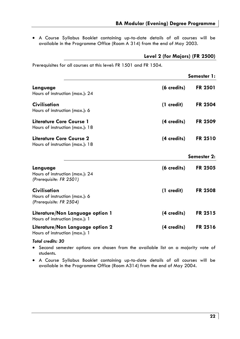• A Course Syllabus Booklet containing up-to-date details of all courses will be available in the Programme Office (Room A 314) from the end of May 2003.

|                                                                           | Level 2 (for Majors) (FR 2500) |                |
|---------------------------------------------------------------------------|--------------------------------|----------------|
| Prerequisites for all courses at this level: FR 1501 and FR 1504.         |                                |                |
|                                                                           |                                | Semester 1:    |
| Language<br>Hours of instruction (max.): 24                               | (6 credits)                    | <b>FR 2501</b> |
| Civilisation<br>Hours of instruction (max.): 6                            | (1 credit)                     | FR 2504        |
| Literature Core Course 1<br>Hours of instruction (max.): 18               | (4 credits)                    | <b>FR 2509</b> |
| Literature Core Course 2<br>Hours of instruction (max.): 18               | (4 credits)                    | <b>FR 2510</b> |
|                                                                           |                                | Semester 2:    |
| Language<br>Hours of instruction (max.): 24<br>(Prerequisite: FR 2501)    | (6 credits)                    | <b>FR 2505</b> |
| Civilisation<br>Hours of instruction (max.): 6<br>(Prerequisite: FR 2504) | (1 credit)                     | <b>FR 2508</b> |
| Literature/Non Language option 1<br>Hours of instruction (max.): 1        | (4 credits)                    | FR 2515        |
| Literature/Non Language option 2                                          | (4 credits)                    | <b>FR 2516</b> |

Hours of instruction (max.): 1

## *Total credits: 30*

- Second semester options are chosen from the available list on a majority vote of students.
- A Course Syllabus Booklet containing up-to-date details of all courses will be available in the Programme Office (Room A314) from the end of May 2004.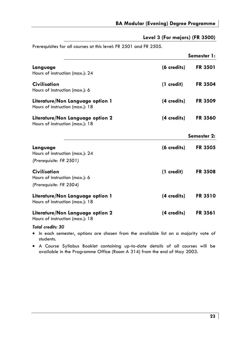## **Level 3 (For majors) (FR 3500)**

Prerequisites for all courses at this level: FR 2501 and FR 2505.

|                                                                     |                | Semester 1:    |
|---------------------------------------------------------------------|----------------|----------------|
| Language<br>Hours of instruction (max.): 24                         | (6 credits)    | <b>FR 3501</b> |
| <b>Civilisation</b><br>Hours of instruction (max.): 6               | (1 credit)     | <b>FR 3504</b> |
| Literature/Non Language option 1<br>Hours of instruction (max.): 18 | (4 credits)    | <b>FR 3509</b> |
| Literature/Non Language option 2<br>Hours of instruction (max.): 18 | (4 credits)    | <b>FR 3560</b> |
|                                                                     |                | Semester 2:    |
| Language<br>Hours of instruction (max.): 24                         | $(6$ credits)  | <b>FR 3505</b> |
| (Prerequisite: FR 2501)                                             |                |                |
| Civilisation<br>Hours of instruction (max.): 6                      | $(1 \ncredit)$ | <b>FR 3508</b> |
| (Prerequisite: FR 2504)                                             |                |                |
| Literature/Non Language option 1<br>Hours of instruction (max.): 18 | (4 credits)    | <b>FR 3510</b> |
| Literature/Non Language option 2<br>Hours of instruction (max.): 18 | (4 credits)    | <b>FR 3561</b> |

## *Total credits: 30*

- In each semester, options are chosen from the available list on a majority vote of students.
- A Course Syllabus Booklet containing up-to-date details of all courses will be available in the Programme Office (Room A 314) from the end of May 2003.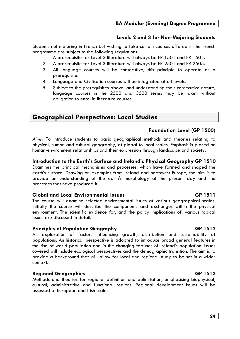## **Levels 2 and 3 for Non-Majoring Students**

Students not majoring in French but wishing to take certain courses offered in the French programme are subject to the following regulations:

- 1. A prerequisite for Level 2 literature will always be FR 1501 and FR 1504.
- 2. A prerequisite for Level 3 literature will always be FR 2501 and FR 2505.
- 3. All language courses will be consecutive, this principle to operate as a prerequisite.
- 4. Language and Civilisation courses will be integrated at all levels.
- 5. Subject to the prerequisites above, and understanding their consecutive nature, language courses in the 2500 and 3500 series may be taken without obligation to enrol in literature courses.

## **Geographical Perspectives: Local Studies**

## **Foundation Level (GP 1500)**

*Aims:* To introduce students to basic geographical methods and theories relating to physical, human and cultural geography, at global to local scales. Emphasis is placed on human-environment relationships and their expression through landscape and society.

## **Introduction to the Earth's Surface and Ireland's Physical Geography GP 1510**

Examines the principal mechanisms and processes, which have formed and shaped the earth's surface. Drawing on examples from Ireland and northwest Europe, the aim is to provide an understanding of the earth's morphology at the present day and the processes that have produced it.

## **Global and Local Environmental Issues GP 1511**

The course will examine selected environmental issues at various geographical scales. Initially the course will describe the components and exchanges within the physical environment. The scientific evidence for, and the policy implications of, various topical issues are discussed in detail.

## **Principles of Population Geography GP 1512**

An exploration of factors influencing growth, distribution and sustainability of populations. An historical perspective is adopted to introduce broad general features in the rise of world population and in the changing fortunes of Ireland's population. Issues covered will include ecological perspectives and the demographic transition. The aim is to provide a background that will allow for local and regional study to be set in a wider context.

## **Regional Geographies GP 1513**

Methods and theories for regional definition and delimitation, emphasising biophysical, cultural, administrative and functional regions. Regional development issues will be assessed at European and Irish scales.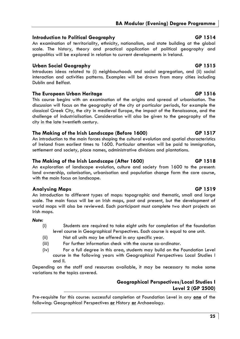## **Introduction to Political Geography GP 1514**

An examination of territoriality, ethnicity, nationalism, and state building at the global scale. The history, theory and practical application of political geography and geopolitics will be explored in relation to current developments in Ireland.

## **Urban Social Geography GP 1515**

Introduces ideas related to (i) neighbourhoods and social segregation, and (ii) social interaction and activities patterns. Examples will be drawn from many cities including Dublin and Belfast.

## **The European Urban Heritage Canadian Control Control Control Control Control Control Control Control Control Control Control Control Control Control Control Control Control Control Control Control Control Control Control**

This course begins with an examination of the origins and spread of urbanisation. The discussion will focus on the geography of the city at particular periods, for example the classical Greek City, the city in medieval Europe, the impact of the Renaissance, and the challenge of industrialisation. Consideration will also be given to the geography of the city in the late twentieth century.

## **The Making of the Irish Landscape (Before 1600) GP 1517**

An introduction to the main forces shaping the cultural evolution and spatial characteristics of Ireland from earliest times to 1600. Particular attention will be paid to immigration, settlement and society, place names, administrative divisions and plantations.

## **The Making of the Irish Landscape (After 1600) GP 1518**

An exploration of landscape evolution, culture and society from 1600 to the present: land ownership, colonisation, urbanisation and population change form the core course, with the main focus on landscape.

## Analysing Maps **GP 1519**

An introduction to different types of maps: topographic and thematic, small and large scale. The main focus will be on Irish maps, past and present, but the development of world maps will also be reviewed. Each participant must complete two short projects on Irish maps.

## *Note:*

- (i) Students are required to take eight units for completion of the foundation level course in Geographical Perspectives. Each course is equal to one unit.
- (ii) Not all units may be offered in any specific year.
- (iii) For further information check with the course co-ordinator.
- (iv) For a full degree in this area, students may build on the Foundation Level course in the following years with Geographical Perspectives: Local Studies I and II.

Depending on the staff and resources available, it may be necessary to make some variations to the topics covered.

## **Geographical Perspectives/Local Studies I Level 2 (GP 2500)**

Pre-requisite for this course: successful completion at Foundation Level in any **one** of the following: Geographical Perspectives **or** History **or** Archaeology.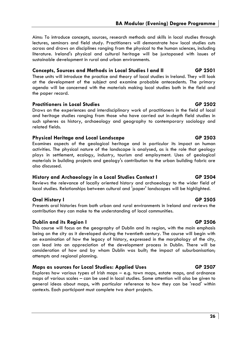Aims: To introduce concepts, sources, research methods and skills in local studies through lectures, seminars and field study. Practitioners will demonstrate how local studies cuts across and draws on disciplines ranging from the physical to the human sciences, including literature. Ireland's physical and cultural heritage will be juxtaposed with issues of sustainable development in rural and urban environments.

## **Concepts, Sources and Methods in Local Studies I and II GP 2501**

These units will introduce the practice and theory of local studies in Ireland. They will look at the development of the subject and examine probable antecedents. The primary agenda will be concerned with the materials making local studies both in the field and the paper record.

## **Practitioners in Local Studies GP 2502**

Draws on the experiences and interdisciplinary work of practitioners in the field of local and heritage studies ranging from those who have carried out in-depth field studies in such spheres as history, archaeology and geography to contemporary sociology and related fields.

## **Physical Heritage and Local Landscape GP 2503**

Examines aspects of the geological heritage and in particular its impact on human activities. The physical nature of the landscape is analysed, as is the role that geology plays in settlement, ecology, industry, tourism and employment. Uses of geological materials in building projects and geology's contribution to the urban building fabric are also discussed.

## **History and Archaeology in a Local Studies Context I GP 2504**

Reviews the relevance of locally oriented history and archaeology to the wider field of local studies. Relationships between cultural and 'paper' landscapes will be highlighted.

## **Oral History I GP 2505**

Presents oral histories from both urban and rural environments in Ireland and reviews the contribution they can make to the understanding of local communities.

## **Dublin and its Region I GP 2506 CP 2506**

This course will focus on the geography of Dublin and its region, with the main emphasis being on the city as it developed during the twentieth century. The course will begin with an examination of how the legacy of history, expressed in the morphology of the city, can lead into an appreciation of the development process in Dublin. There will be consideration of how and by whom Dublin was built; the impact of suburbanisation; attempts and regional planning.

## **Maps as sources for Local Studies: Applied Uses GP 2507**

Explores how various types of Irish maps – e.g. town maps, estate maps, and ordnance maps of various scales – can be used in local studies. Some attention will also be given to general ideas about maps, with particular reference to how they can be 'read' within contexts. Each participant must complete two short projects.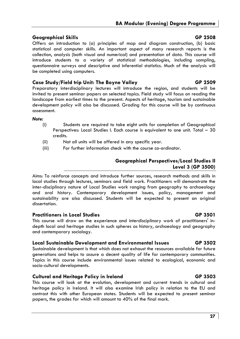## **Geographical Skills GP 2508**

Offers an introduction to (a) principles of map and diagram construction, (b) basic statistical and computer skills. An important aspect of many research reports is the collection, analysis (both visual and numerical) and presentation of data. This course will introduce students to a variety of statistical methodologies, including sampling, questionnaire surveys and descriptive and inferential statistics. Much of the analysis will be completed using computers.

## Case Study/Field trip Unit: The Boyne Valley **GR 2509**

Preparatory interdisciplinary lectures will introduce the region, and students will be invited to present seminar papers on selected topics. Field study will focus on reading the landscape from earliest times to the present. Aspects of heritage, tourism and sustainable development policy will also be discussed. Grading for this course will be by continuous assessment.

*Note:* 

- (i) Students are required to take eight units for completion of Geographical Perspectives: Local Studies I. Each course is equivalent to one unit. Total – 30 credits.
- (ii) Not all units will be offered in any specific year.
- (iii) For further information check with the course co-ordinator.

## **Geographical Perspectives/Local Studies II Level 3 (GP 3500)**

Aims: To reinforce concepts and introduce further sources, research methods and skills in local studies through lectures, seminars and field work. Practitioners will demonstrate the inter-disciplinary nature of Local Studies work ranging from geography to archaeology and oral history. Contemporary development issues, policy, management and sustainability are also discussed. Students will be expected to present an original dissertation.

## **Practitioners in Local Studies Canadian Contract Contract Canadian CP 3501**

This course will draw on the experience and interdisciplinary work of practitioners' indepth local and heritage studies in such spheres as history, archaeology and geography and contemporary sociology.

## **Local Sustainable Development and Environmental Issues GP 3502**

Sustainable development is that which does not exhaust the resources available for future generations and helps to assure a decent quality of life for contemporary communities. Topics in this course include environmental issues related to ecological, economic and socio-cultural developments.

## **Cultural and Heritage Policy in Ireland GP 3503**

This course will look at the evolution, development and current trends in cultural and heritage policy in Ireland. It will also examine Irish policy in relation to the EU and contrast this with other European states. Students will be expected to present seminar papers, the grades for which will amount to 40% of the final mark.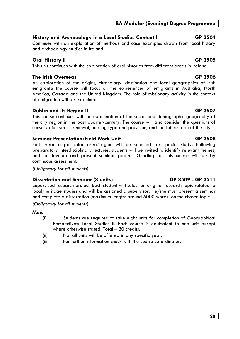## **History and Archaeology in a Local Studies Context II GP 3504**

Continues with an exploration of methods and case examples drawn from local history and archaeology studies in Ireland.

## **Oral History II** GP 3505

This unit continues with the exploration of oral histories from different areas in Ireland.

## **The Irish Overseas GP 3506**

An exploration of the origins, chronology, destination and local geographies of Irish emigrants: the course will focus on the experiences of emigrants in Australia, North America, Canada and the United Kingdom. The role of missionary activity in the context of emigration will be examined.

## **Dublin and its Region II GP 3507 CP 3507**

This course continues with an examination of the social and demographic geography of the city region in the past quarter-century. The course will also consider the questions of conservation versus renewal, housing type and provision, and the future form of the city.

## **Seminar Presentation/Field Work Unit GP 3508**

Each year a particular area/region will be selected for special study. Following preparatory interdisciplinary lectures, students will be invited to identify relevant themes, and to develop and present seminar papers. Grading for this course will be by continuous assessment.

*(Obligatory for all students).* 

## **Dissertation and Seminar (3 units) GP 3509 - GP 3511**

Supervised research project. Each student will select an original research topic related to local/heritage studies and will be assigned a supervisor. He/she must present a seminar and complete a dissertation (maximum length: around 6000 words) on the chosen topic.

*(Obligatory for all students).* 

## *Note:*

- (i) Students are required to take eight units for completion of Geographical Perspectives: Local Studies II. Each course is equivalent to one unit except where otherwise stated. Total – 30 credits.
- (ii) Not all units will be offered in any specific year.
- (iii) For further information check with the course co-ordinator.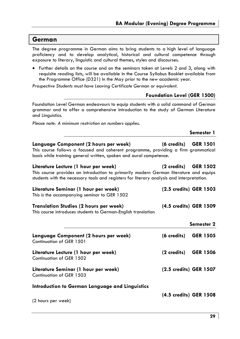## **German**

The degree programme in German aims to bring students to a high level of language proficiency and to develop analytical, historical and cultural competence through exposure to literary, linguistic and cultural themes, styles and discourses.

• Further details on the course and on the seminars taken at Levels 2 and 3, along with requisite reading lists, will be available in the Course Syllabus Booklet available from the Programme Office (D321) in the May prior to the new academic year.

*Prospective Students must have Leaving Certificate German or equivalent.* 

## **Foundation Level (GER 1500)**

Foundation Level German endeavours to equip students with a solid command of German grammar and to offer a comprehensive introduction to the study of German Literature and Linguistics.

*Please note: A minimum restriction on numbers applies.* 

| Semester 1 |  |
|------------|--|
|------------|--|

## **Language Component (2 hours per week) (6 credits) GER 1501**  This course follows a focused and coherent programme, providing a firm grammatical basis while training general written, spoken and aural competence.

| Literature Lecture (1 hour per week) | $(2 \text{ credits})$ GER 1502 |  |
|--------------------------------------|--------------------------------|--|
| $\blacksquare$                       |                                |  |

This course provides an introduction to primarily modern German literature and equips students with the necessary tools and registers for literary analysis and interpretation.

| Literature Seminar (1 hour per week)<br>This is the accompanying seminar to GER 1502                           | (2.5 credits) GER 1503 |
|----------------------------------------------------------------------------------------------------------------|------------------------|
| <b>Translation Studies (2 hours per week)</b><br>This course introduces students to German-English translation | (4.5 credits) GER 1509 |

|                                                                   |                        | Semester 2      |
|-------------------------------------------------------------------|------------------------|-----------------|
| Language Component (2 hours per week)<br>Continuation of GER 1501 | $(6$ credits)          | <b>GER 1505</b> |
| Literature Lecture (1 hour per week)<br>Continuation of GFR 1502  | $(2 \text{ credits})$  | <b>GER 1506</b> |
| Literature Seminar (1 hour per week)<br>Continuation of GER 1503  | (2.5 credits) GER 1507 |                 |
| Introduction to German Language and Linguistics                   |                        |                 |
| (2 hours per week)                                                | (4.5 credits) GER 1508 |                 |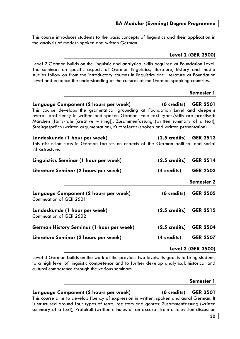This course introduces students to the basic concepts of linguistics and their application in the analysis of modern spoken and written German.

## **Level 2 (GER 2500)**

Level 2 German builds on the linguistic and analytical skills acquired at Foundation Level. The seminars on specific aspects of German linguistics, literature, history and media studies follow on from the introductory courses in linguistics and literature at Foundation Level and enhance the understanding of the cultures of the German-speaking countries.

## **Semester 1**

## **Language Component (2 hours per week) (6 credits) GER 2501**

This course develops the grammatical grounding at Foundation Level and deepens overall proficiency in written and spoken German. Four text types/skills are practised: Märchen (fairy-tale [creative writing]), Zusammenfassung (written summary of a text), Streitgespräch (written argumentation), Kurzreferat (spoken and written presentation).

**Landeskunde (1 hour per week) (2.5 credits) GER 2513**  This discussion class in German focuses on aspects of the German political and social infrastructure.

| Linguistics Seminar (1 hour per week)                             | $(2.5 \text{ credits})$ | <b>GER 2514</b>    |
|-------------------------------------------------------------------|-------------------------|--------------------|
| Literature Seminar (2 hours per week)                             | (4 credits)             | <b>GER 2503</b>    |
|                                                                   |                         | Semester 2         |
| Language Component (2 hours per week)<br>Continuation of GER 2501 | $(6$ credits)           | <b>GER 2505</b>    |
| Landeskunde (1 hour per week)<br>Continuation of GER 2502         | $(2.5 \text{ credits})$ | <b>GER 2515</b>    |
| German History Seminar (1 hour per week)                          | $(2.5 \text{ credits})$ | <b>GER 2504</b>    |
| Literature Seminar (2 hours per week)                             | (4 credits)             | <b>GER 2507</b>    |
|                                                                   |                         | Level 3 (GER 3500) |

Level 3 German builds on the work of the previous two levels. Its goal is to bring students to a high level of linguistic competence and to further develop analytical, historical and cultural competence through the various seminars.

## **Semester 1**

## **Language Component (2 hours per week) (6 credits) GER 3501**

This course aims to develop fluency of expression in written, spoken and aural German. It is structured around four types of texts, registers and genres: Zusammenfassung (written summary of a text), Protokoll (written minutes of an excerpt from a television discussion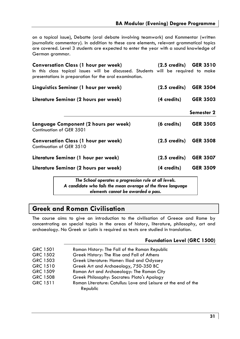on a topical issue), Debatte (oral debate involving teamwork) and Kommentar (written journalistic commentary). In addition to these core elements, relevant grammatical topics are covered. Level 3 students are expected to enter the year with a sound knowledge of German grammar.

| <b>Conversation Class (1 hour per week)</b>                                                                                                 | $(2.5 \text{ credits})$ GER 3510 |                 |
|---------------------------------------------------------------------------------------------------------------------------------------------|----------------------------------|-----------------|
| In this class topical issues will be discussed. Students will be required to make<br>presentations in preparation for the oral examination. |                                  |                 |
| Linguistics Seminar (1 hour per week)                                                                                                       | $(2.5 \text{ credits})$          | <b>GER 3504</b> |
| Literature Seminar (2 hours per week)                                                                                                       | (4 credits)                      | <b>GER 3503</b> |
|                                                                                                                                             |                                  | Semester 2      |
| Language Component (2 hours per week)<br>Continuation of GER 3501                                                                           | (6 credits)                      | <b>GER 3505</b> |
| <b>Conversation Class (1 hour per week)</b><br>Continuation of GER 3510                                                                     | $(2.5 \text{ credits})$          | <b>GER 3508</b> |
| Literature Seminar (1 hour per week)                                                                                                        | $(2.5 \text{ credits})$          | <b>GER 3507</b> |
| Literature Seminar (2 hours per week)                                                                                                       | (4 credits)                      | <b>GER 3509</b> |
|                                                                                                                                             |                                  |                 |

*The School operates a progression rule at all levels. A candidate who fails the mean average of the three language elements cannot be awarded a pass.* 

## **Greek and Roman Civilisation**

The course aims to give an introduction to the civilisation of Greece and Rome by concentrating on special topics in the areas of history, literature, philosophy, art and archaeology. No Greek or Latin is required as texts are studied in translation.

## **Foundation Level (GRC 1500)**

| GRC 1501 | Roman History: The Fall of the Roman Republic                  |
|----------|----------------------------------------------------------------|
| GRC 1502 | Greek History: The Rise and Fall of Athens                     |
| GRC 1503 | Greek Literature: Homer: Iliad and Odyssey                     |
| GRC 1510 | Greek Art and Archaeology, 750-350 BC                          |
| GRC 1509 | Roman Art and Archaeology: The Roman City                      |
| GRC 1508 | Greek Philosophy: Socrates: Plato's Apology                    |
| GRC 1511 | Roman Literature: Catullus: Love and Leisure at the end of the |
|          | Republic                                                       |
|          |                                                                |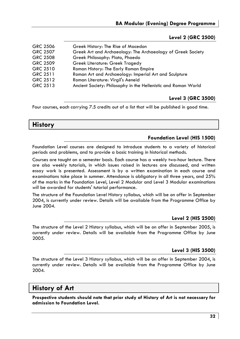## **Level 2 (GRC 2500)**

| GRC 2506        | Greek History: The Rise of Macedon                             |
|-----------------|----------------------------------------------------------------|
| <b>GRC 2507</b> | Greek Art and Archaeology: The Archaeology of Greek Society    |
| GRC 2508        | Greek Philosophy: Plato, Phaedo                                |
| GRC 2509        | Greek Literature: Greek Tragedy                                |
| GRC 2510        | Roman History: The Early Roman Empire                          |
| GRC 2511        | Roman Art and Archaeology: Imperial Art and Sculpture          |
| GRC 2512        | Roman Literature: Virgil's Aeneid                              |
| GRC 2513        | Ancient Society: Philosophy in the Hellenistic and Roman World |

## **Level 3 (GRC 3500)**

Four courses, each carrying 7.5 credits out of a list that will be published in good time.

## **History**

## **Foundation Level (HIS 1500)**

Foundation Level courses are designed to introduce students to a variety of historical periods and problems, and to provide a basic training in historical methods.

Courses are taught on a semester basis. Each course has a weekly two-hour lecture. There are also weekly tutorials, in which issues raised in lectures are discussed, and written essay work is presented. Assessment is by a written examination in each course and examinations take place in summer. Attendance is obligatory in all three years, and 25% of the marks in the Foundation Level, Level 2 Modular and Level 3 Modular examinations *will* be awarded for students' tutorial performance.

The structure of the Foundation Level History syllabus, which will be on offer in September 2004, is currently under review. Details will be available from the Programme Office by June 2004.

## **Level 2 (HIS 2500)**

The structure of the Level 2 History syllabus, which will be on offer in September 2005, is currently under review. Details will be available from the Programme Office by June 2005.

## **Level 3 (HIS 3500)**

The structure of the Level 3 History syllabus, which will be on offer in September 2004, is currently under review. Details will be available from the Programme Office by June 2004.

## **History of Art**

**Prospective students should note that prior study of History of Art is not necessary for admission to Foundation Level.**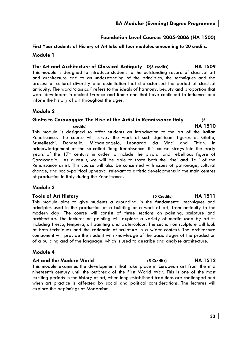## **Foundation Level Courses 2005-2006 (HA 1500)**

**First Year students of History of Art take all four modules amounting to 20 credits.** 

## **Module 1**

## **The Art and Architecture of Classical Antiquity 0(5 credits) HA 1509**

This module is designed to introduce students to the outstanding record of classical art and architecture and to an understanding of the principles, the techniques and the process of cultural diversity and assimilation that characterised the period of classical antiquity. The word 'classical' refers to the ideals of harmony, beauty and proportion that were developed in ancient Greece and Rome and that have continued to influence and inform the history of art throughout the ages.

## **Module 2**

## **Giotto to Caravaggio: The Rise of the Artist in Renaissance Italy (5 credits) HA 1510**

This module is designed to offer students an introduction to the art of the Italian Renaissance. The course will survey the work of such significant figures as Giotto, Brunelleschi, Donatello, Michaelangelo, Leonardo da Vinci and Titian. In acknowledgement of the so-called 'long Renaissance' this course strays into the early years of the 17th century in order to include the pivotal and rebellious figure of Caravaggio. As a result, we will be able to trace both the 'rise' and 'fall' of the Renaissance artist. This course will also be concerned with issues of patronage, cultural change, and socio-political upheaval relevant to artistic developments in the main centres of production in Italy during the Renaissance.

## **Module 3**

This module aims to give students a grounding in the fundamental techniques and principles used in the production of a building or a work of art, from antiquity to the modern day. The course will consist of three sections on painting, sculpture and architecture. The lectures on painting will explore a variety of media used by artists including fresco, tempera, oil painting and watercolour. The section on sculpture will look at both techniques and the rationale of sculpture in a wider context. The architecture component will provide the student with knowledge of the basic stages of the production of a building and of the language, which is used to describe and analyse architecture.

## **Module 4**

## **Art and the Modern World (5 Credits) HA 1512**

This module examines the developments that take place in European art from the mid nineteenth century until the outbreak of the First World War. This is one of the most exciting periods in the history of art, when long-established traditions are challenged and when art practice is affected by social and political considerations. The lectures will explore the beginnings of Modernism.

## **Tools of Art History (5 Credits) HA 1511**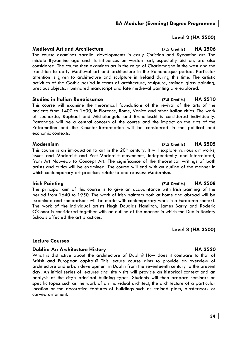## **Level 2 (HA 2500)**

## **Medieval Art and Architecture (7.5 Credits) HA 2506**

The course examines parallel developments in early Christian and Byzantine art. The middle Byzantine age and its influences on western art, especially Sicilian, are also considered. The course then examines art in the reign of Charlemagne in the west and the transition to early Medieval art and architecture in the Romanesque period. Particular attention is given to architecture and sculpture in Ireland during this time. The artistic activities of the Gothic period in terms of architecture, sculpture, stained glass painting, precious objects, illuminated manuscript and late medieval painting are explored.

## **Studies in Italian Renaissance (7.5 Credits) HA 2510**

This course will examine the theoretical foundations of the revival of the arts of the ancients from 1400 to 1600, in Florence, Rome, Venice and other Italian cities. The work of Leonardo, Raphael and Michelangelo and Brunelleschi is considered individually. Patronage will be a central concern of the course and the impact on the arts of the Reformation and the Counter-Reformation will be considered in the political and economic contexts.

## **Modernism (7.5 Credits) HA 2505**

This course is an introduction to art in the 20<sup>th</sup> century. It will explore various art works, issues and Modernist and Post-Modernist movements, independently and interrelated, from Art Nouveau to Concept Art. The significance of the theoretical writings of both artists and critics will be examined. The course will end with an outline of the manner in which contemporary art practices relate to and reassess Modernism.

The principal aim of this course is to give an acquaintance with Irish painting of the period from 1640 to 1950. The work of Irish painters both at home and abroad will be examined and comparisons will be made with contemporary work in a European context. The work of the individual artists Hugh Douglas Hamilton, James Barry and Roderic O'Conor is considered together with an outline of the manner in which the Dublin Society Schools affected the art practices.

**Level 3 (HA 3500)** 

## **Lecture Courses**

## **Dublin: An Architecture History HA 3520**

What is distinctive about the architecture of Dublin? How does it compare to that of British and European capitals? This lecture course aims to provide an overview of architecture and urban development in Dublin from the seventeenth century to the present day. An initial series of lectures and site visits will provide an historical context and an analysis of the city's principal building types. Students will then prepare seminars on specific topics such as the work of an individual architect, the architecture of a particular location or the decorative features of buildings such as stained glass, plasterwork or carved ornament.

## **Irish Painting (7.5 Credits) HA 2508**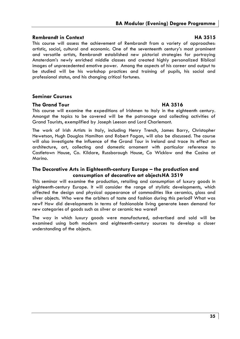## **Rembrandt in Context Context Context Context Context Context Context Context Context Context Context Context Context Context Context Context Context Context Context Context Context Context Context Context Context Context**

This course will assess the achievement of Rembrandt from a variety of approaches: artistic, social, cultural and economic. One of the seventeenth century's most prominent and versatile artists, Rembrandt established new pictorial strategies for portraying Amsterdam's newly enriched middle classes and created highly personalized Biblical images of unprecedented emotive power. Among the aspects of his career and output to be studied will be his workshop practices and training of pupils, his social and professional status, and his changing critical fortunes.

## **Seminar Courses**

## **The Grand Tour HA 3516**

This course will examine the expeditions of Irishmen to Italy in the eighteenth century. Amongst the topics to be covered will be the patronage and collecting activities of Grand Tourists, exemplified by Joseph Leeson and Lord Charlemont.

The work of Irish Artists in Italy, including Henry Trench, James Barry, Christopher Hewetson, Hugh Douglas Hamilton and Robert Fagan, will also be discussed. The course will also investigate the influence of the Grand Tour in Ireland and trace its effect on architecture, art, collecting and domestic ornament with particular reference to Castletown House, Co. Kildare, Russborough House, Co Wicklow and the Casino at Marino.

## **The Decorative Arts in Eighteenth-century Europe – the production and consumption of decorative art objects HA 3519**

This seminar will examine the production, retailing and consumption of luxury goods in eighteenth-century Europe. It will consider the range of stylistic developments, which affected the design and physical appearance of commodities like ceramics, glass and silver objects. Who were the arbiters of taste and fashion during this period? What was new? How did developments in terms of fashionable living generate keen demand for new categories of goods such as silver or ceramic tea wares?

The way in which luxury goods were manufactured, advertised and sold will be examined using both modern and eighteenth-century sources to develop a closer understanding of the objects.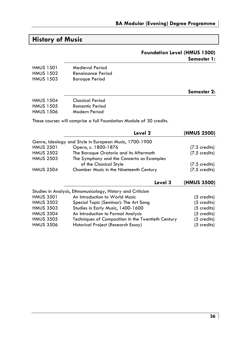## **History of Music**

## **Foundation Level (HMUS 1500) Semester 1:**

| HMUS 1501 | Medieval Period           |
|-----------|---------------------------|
| HMUS 1502 | <b>Renaissance Period</b> |
| HMUS 1503 | <b>Baroque Period</b>     |

## **Semester 2:**

| <b>HMUS 1504</b> | <b>Classical Period</b> |
|------------------|-------------------------|
| <b>HMUS 1505</b> | <b>Romantic Period</b>  |
| <b>HMUS 1506</b> | Modern Period           |

These courses will comprise a full Foundation Module of 30 credits.

|                  | Level 2                                                | (HMUS 2500)             |
|------------------|--------------------------------------------------------|-------------------------|
|                  | Genre, Ideology and Style in European Music, 1700-1900 |                         |
| <b>HMUS 2501</b> | Opera, c. 1800-1876                                    | $(7.5 \text{ credits})$ |
| <b>HMUS 2502</b> | The Baroque Oratorio and its Aftermath                 | $(7.5 \text{ credits})$ |
| <b>HMUS 2503</b> | The Symphony and the Concerto as Examples              |                         |
|                  | of the Classical Style                                 | $(7.5 \text{ credits})$ |
| <b>HMUS 2504</b> | Chamber Music in the Nineteenth Century                | $(7.5 \text{ credits})$ |

**Level 3 (HMUS 3500)** 

|                  | Studies in Analysis, Ethnomusicology, History and Criticism |                       |
|------------------|-------------------------------------------------------------|-----------------------|
| <b>HMUS 3501</b> | An Introduction to World Music                              | $(5$ credits)         |
| <b>HMUS 3502</b> | Special Topic (Seminar): The Art Song                       | $(5$ credits)         |
| <b>HMUS 3503</b> | Studies in Early Music, 1400-1600                           | $(5 \text{ credits})$ |
| <b>HMUS 3504</b> | An Introduction to Formal Analysis                          | $(5 \text{ credits})$ |
| <b>HMUS 3505</b> | Techniques of Composition in the Twentieth Century          | $(5 \text{ credits})$ |
| <b>HMUS 3506</b> | Historical Project (Research Essay)                         | $(5 \text{ credits})$ |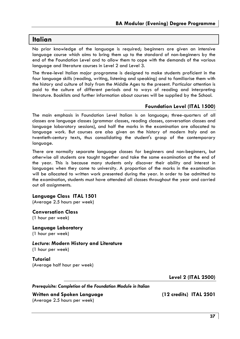## **Italian**

No prior knowledge of the language is required; beginners are given an intensive language course which aims to bring them up to the standard of non-beginners by the end of the Foundation Level and to allow them to cope with the demands of the various language and literature courses in Level 2 and Level 3.

The three-level Italian major programme is designed to make students proficient in the four language skills (reading, writing, listening and speaking) and to familiarise them with the history and culture of Italy from the Middle Ages to the present. Particular attention is paid to the culture of different periods and to ways of reading and interpreting literature. Booklists and further information about courses will be supplied by the School.

## **Foundation Level (ITAL 1500)**

The main emphasis in Foundation Level Italian is on language; three-quarters of all classes are language classes (grammar classes, reading classes, conversation classes and language laboratory sessions), and half the marks in the examination are allocated to language work. But courses are also given on the history of modern Italy and on twentieth-century texts, thus consolidating the student's grasp of the contemporary language.

There are normally separate language classes for beginners and non-beginners, but otherwise all students are taught together and take the same examination at the end of the year. This is because many students only discover their ability and interest in languages when they come to university. A proportion of the marks in the examination will be allocated to written work presented during the year. In order to be admitted to the examination, students must have attended all classes throughout the year and carried out all assignments.

## **Language Class ITAL 1501**

(Average 2.5 hours per week)

## **Conversation Class**  (1 hour per week)

**Language Laboratory**  (1 hour per week)

## *Lecture:* **Modern History and Literature**

(1 hour per week)

**Tutorial**  (Average half hour per week)

**Level 2 (ITAL 2500)** 

*Prerequisite: Completion of the Foundation Module in Italian* 

**Written and Spoken Language (12 credits) ITAL 2501**  (Average 2.5 hours per week)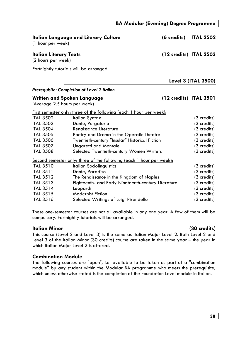| (1 hour per week)                                           | <b>Italian Language and Literary Culture</b>                               | $(6 \text{ credits})$  | <b>ITAL 2502</b>    |
|-------------------------------------------------------------|----------------------------------------------------------------------------|------------------------|---------------------|
| <b>Italian Literary Texts</b><br>(2 hours per week)         |                                                                            | (12 credits) ITAL 2503 |                     |
|                                                             | Fortnightly tutorials will be arranged.                                    |                        |                     |
|                                                             |                                                                            |                        | Level 3 (ITAL 3500) |
|                                                             | Prerequisite: Completion of Level 2 Italian                                |                        |                     |
| Written and Spoken Language<br>(Average 2.5 hours per week) |                                                                            | (12 credits) ITAL 3501 |                     |
|                                                             | <u>First semester only: three of the following (each 1 hour per week):</u> |                        |                     |
| <b>ITAL 3502</b>                                            | <b>Italian Syntax</b>                                                      |                        | (3 credits)         |
| <b>ITAL 3503</b>                                            | Dante, Purgatorio                                                          |                        | (3 credits)         |
| <b>ITAL 3504</b>                                            | <b>Renaissance Literature</b>                                              |                        | (3 credits)         |
| <b>ITAL 3505</b>                                            | Poetry and Drama in the Operatic Theatre                                   |                        | (3 credits)         |
| <b>ITAL 3506</b>                                            | Twentieth-century "Insular" Historical Fiction                             |                        | (3 credits)         |
| <b>ITAL 3507</b>                                            | Ungaretti and Montale                                                      |                        | (3 credits)         |
| <b>ITAL 3508</b>                                            | Selected Twentieth-century Women Writers                                   |                        | (3 credits)         |
|                                                             | Second semester only: three of the following (each 1 hour per week):       |                        |                     |
| <b>ITAL 3510</b>                                            | <b>Italian Sociolinguistics</b>                                            |                        | (3 credits)         |
| <b>ITAL 3511</b>                                            | Dante, Paradiso                                                            |                        | (3 credits)         |
| <b>ITAL 3512</b>                                            | The Renaissance in the Kingdom of Naples                                   |                        | (3 credits)         |
| <b>ITAL 3513</b>                                            | Eighteenth- and Early Nineteenth-century Literature                        |                        | (3 credits)         |
| <b>ITAL 3514</b>                                            | Leopardi                                                                   |                        | (3 credits)         |
| <b>ITAL 3515</b>                                            | <b>Modernist Fiction</b>                                                   |                        | (3 credits)         |
| <b>ITAL 3516</b>                                            | Selected Writings of Luigi Pirandello                                      |                        | (3 credits)         |

These one-semester courses are not all available in any one year. A few of them will be compulsory. Fortnightly tutorials will be arranged.

## **Italian Minor (30 credits)**

This course (Level 2 and Level 3) is the same as Italian Major Level 2. Both Level 2 and Level 3 of the Italian Minor (30 credits) course are taken in the same year – the year in which Italian Major Level 2 is offered.

## **Combination Module**

The following courses are "open", i.e. available to be taken as part of a "combination module" by any student within the Modular BA programme who meets the prerequisite, which unless otherwise stated is the completion of the Foundation Level module in Italian.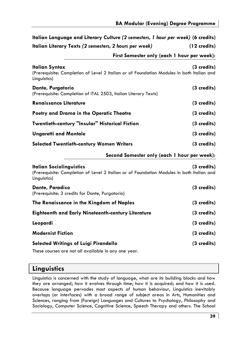| Italian Language and Literary Culture (2 semesters, 1 hour per week) (6 credits)                                            |                                             |  |
|-----------------------------------------------------------------------------------------------------------------------------|---------------------------------------------|--|
| Italian Literary Texts (2 semesters, 2 hours per week)                                                                      | $(12 \text{ credits})$                      |  |
|                                                                                                                             | First Semester only (each 1 hour per week): |  |
| Italian Syntax<br>(Prerequisite: Completion of Level 2 Italian or of Foundation Modules in both Italian and<br>Linguistics) | (3 credits)                                 |  |
| Dante, Purgatorio<br>(Prerequisite: Completion of ITAL 2503, Italian Literary Texts)                                        | (3 credits)                                 |  |
| <b>Renaissance Literature</b>                                                                                               | (3 credits)                                 |  |
| Poetry and Drama in the Operatic Theatre                                                                                    | (3 credits)                                 |  |
| Twentieth-century "Insular" Historical Fiction                                                                              | (3 credits)                                 |  |
| <b>Ungaretti and Montale</b>                                                                                                | (3 credits)                                 |  |
| <b>Selected Twentieth-century Women Writers</b>                                                                             | (3 credits)                                 |  |

## **Second Semester only (each 1 hour per week):**

| Italian Sociolinguistics<br>(3 <sub>credits</sub> )<br>(Prerequisite: Completion of Level 2 Italian or of Foundation Modules in both Italian and<br>Linguistics) |             |  |
|------------------------------------------------------------------------------------------------------------------------------------------------------------------|-------------|--|
| Dante, Paradiso<br>(Prerequisite: 3 credits for Dante, Purgatorio)                                                                                               | (3 credits) |  |
| The Renaissance in the Kingdom of Naples                                                                                                                         | (3 credits) |  |
| <b>Eighteenth and Early Nineteenth-century Literature</b>                                                                                                        | (3 credits) |  |
| Leopardi                                                                                                                                                         | (3 credits) |  |
| <b>Modernist Fiction</b>                                                                                                                                         | (3 credits) |  |
| Selected Writings of Luigi Pirandello                                                                                                                            | (3 credits) |  |
| .                                                                                                                                                                |             |  |

These courses are not all available in any one year.

## **Linguistics**

Linguistics is concerned with the study of language, what are its building blocks and how they are arranged; how it evolves through time; how it is acquired; and how it is used. Because language pervades most aspects of human behaviour, Linguistics inevitably overlaps (or interfaces) with a broad range of subject areas in Arts, Humanities and Sciences, ranging from (Foreign) Languages and Cultures to Psychology, Philosophy and Sociology, Computer Science, Cognitive Science, Speech Therapy and others. The School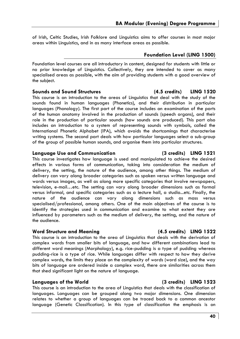of Irish, Celtic Studies, Irish Folklore and Linguistics aims to offer courses in most major areas within Linguistics, and in as many interface areas as possible.

## **Foundation Level (LING 1500)**

Foundation level courses are all introductory in content, designed for students with little or no prior knowledge of Linguistics. Collectively, they are intended to cover as many specialised areas as possible, with the aim of providing students with a good overview of the subject.

## **Sounds and Sound Structures (4.5 credits) LING 1520**

This course is an introduction to the areas of Linguistics that deal with the study of the sounds found in human languages (Phonetics), and their distribution in particular languages (Phonology). The first part of the course includes an examination of the parts of the human anatomy involved in the production of sounds (speech organs), and their role in the production of particular sounds (how sounds are produced). This part also includes an introduction to a system of representing sounds with symbols, called the International Phonetic Alphabet (IPA), which avoids the shortcomings that characterise writing systems. The second part deals with how particular languages select a sub-group of the group of possible human sounds, and organise them into particular structures.

## **Language Use and Communication (3 credits) LING 1521**

This course investigates how language is used and manipulated to achieve the desired effects in various forms of communication, taking into consideration the medium of delivery, the setting, the nature of the audience, among other things. The medium of delivery can vary along broader categories such as spoken versus written language and words versus images, as well as along more specific categories that involve newspapers, television, e-mail…etc. The setting can vary along broader dimensions such as formal versus informal, and specific categories such as a lecture hall, a studio...etc. Finally, the nature of the audience can vary along dimensions such as mass versus specialised/professional, among others. One of the main objectives of the course is to identify the strategies used in communication and examine to what extent they are influenced by parameters such as the medium of delivery, the setting, and the nature of the audience.

## **Word Structure and Meaning (4.5 credits) LING 1522**

This course is an introduction to the area of Linguistics that deals with the derivation of complex words from smaller bits of language, and how different combinations lead to different word meanings (Morphology), e.g. rice-pudding is a type of pudding whereas pudding-rice is a type of rice. While languages differ with respect to how they derive complex words, the limits they place on the complexity of words (word size), and the way bits of language are ordered inside a complex word, there are similarities across them that shed significant light on the nature of language.

## **Languages of the World (3 credits) LING 1523**

This course is an introduction to the area of Linguistics that deals with the classification of languages. Languages can be grouped along two major dimensions. One dimension relates to whether a group of languages can be traced back to a common ancestor language (Genetic Classification). In this type of classification the emphasis is on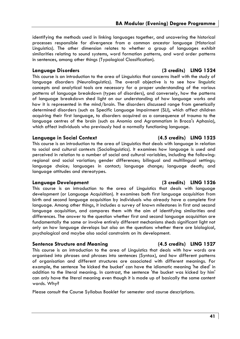identifying the methods used in linking languages together, and uncovering the historical processes responsible for divergence from a common ancestor language (Historical Linguistics). The other dimension relates to whether a group of languages exhibit similarities relating to sound systems, word formation patterns, and word order patterns in sentences, among other things (Typological Classification).

This course is an introduction to the area of Linguistics that concerns itself with the study of language disorders (Neurolinguistics). The overall objective is to see how linguistic concepts and analytical tools are necessary for a proper understanding of the various patterns of language breakdown (types of disorders), and conversely, how the patterns of language breakdown shed light on our understanding of how language works and how it is represented in the mind/brain. The disorders discussed range from genetically determined disorders (such as Specific Language Impairment (SLI), which affect children acquiring their first language, to disorders acquired as a consequence of trauma to the language centres of the brain (such as Anomia and Agrammatism in Broca's Aphasia), which affect individuals who previously had a normally functioning language.

## **Language in Social Context (4.5 credits) LING 1525**

This course is an introduction to the area of Linguistics that deals with language in relation to social and cultural contexts (Sociolinguistics). It examines how language is used and perceived in relation to a number of social and cultural variables, including the following: regional and social variation; gender differences; bilingual and multilingual settings; language choice; languages in contact; language change; language death; and language attitudes and stereotypes.

## **Language Development (3 credits) LING 1526**

This course is an introduction to the area of Linguistics that deals with language development (or Language Acquisition). It examines both first language acquisition from birth and second language acquisition by individuals who already have a complete first language. Among other things, it includes a survey of known milestones in first and second language acquisition, and compares them with the aim of identifying similarities and differences. The answer to the question whether first and second language acquisition are fundamentally the same or involve entirely different mechanisms sheds significant light not only on how language develops but also on the questions whether there are biological, psychological and maybe also social constraints on its development.

## **Sentence Structure and Meaning (4.5 credits) LING 1527**

This course is an introduction to the area of Linguistics that deals with how words are organised into phrases and phrases into sentences (Syntax), and how different patterns of organisation and different structures are associated with different meanings. For example, the sentence 'he kicked the bucket' can have the idiomatic meaning 'he died' in addition to the literal meaning. In contrast, the sentence 'the bucket was kicked by him' can only have the literal meaning even though it is made up of basically the same content words. Why?

Please consult the Course Syllabus Booklet for semester and course descriptions.

## **Language Disorders (3 credits) LING 1524**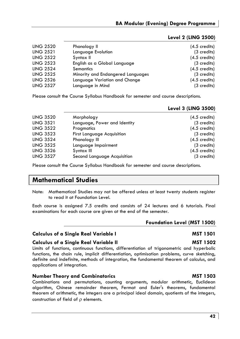| <b>LING 2520</b> | Phonology II                      | $(4.5 \text{ credits})$ |
|------------------|-----------------------------------|-------------------------|
| <b>LING 2521</b> | Language Evolution                | (3 credits)             |
| <b>LING 2522</b> | Syntax II                         | $(4.5 \text{ credits})$ |
| <b>LING 2523</b> | English as a Global Language      | (3 credits)             |
| <b>LING 2524</b> | <b>Semantics</b>                  | $(4.5 \text{ credits})$ |
| <b>LING 2525</b> | Minority and Endangered Languages | (3 credits)             |
| <b>LING 2526</b> | Language Variation and Change     | $(4.5 \text{ credits})$ |
| <b>LING 2527</b> | Language in Mind                  | (3 credits)             |

## **Level 2 (LING 2500)**

Please consult the Course Syllabus Handbook for semester and course descriptions.

|                  |                                   | Level 3 (LING 3500)     |
|------------------|-----------------------------------|-------------------------|
| <b>LING 3520</b> | Morphology                        | $(4.5 \text{ credits})$ |
| <b>LING 3521</b> | Language, Power and Identity      | (3 credits)             |
| <b>LING 3522</b> | Pragmatics                        | $(4.5 \text{ credits})$ |
| <b>LING 3523</b> | <b>First Language Acquisition</b> | (3 credits)             |
| <b>LING 3524</b> | Phonology III                     | $(4.5 \text{ credits})$ |
| <b>LING 3525</b> | Language Impairment               | (3 credits)             |
| <b>LING 3526</b> | Syntax III                        | $(4.5 \text{ credits})$ |
| <b>LING 3527</b> | Second Language Acquisition       | (3 credits)             |
|                  |                                   |                         |

Please consult the Course Syllabus Handbook for semester and course descriptions.

## **Mathematical Studies**

Note: Mathematical Studies may not be offered unless at least twenty students register to read it at Foundation Level.

Each course is assigned 7.5 credits and consists of 24 lectures and 6 tutorials. Final examinations for each course are given at the end of the semester.

## **Foundation Level (MST 1500)**

## **Calculus of a Single Real Variable I MST 1501**

## **Calculus of a Single Real Variable II** MST 1502

Limits of functions, continuous functions, differentiation of trigonometric and hyperbolic functions, the chain rule, implicit differentiation, optimisation problems, curve sketching, definite and indefinite, methods of integration, the fundamental theorem of calculus, and applications of integration.

## **Number Theory and Combinatorics MST 1503 MST 1503**

Combinations and permutations, counting arguments, modular arithmetic, Euclidean algorithm, Chinese remainder theorem, Fermat and Euler's theorems, fundamental theorem of arithmetic, the integers are a principal ideal domain, quotients of the integers, construction of field of  $\rho$  elements.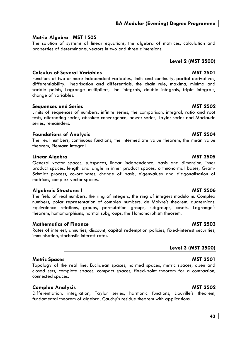## **Matrix Algebra MST 1505**

The solution of systems of linear equations, the algebra of matrices, calculation and properties of determinants, vectors in two and three dimensions.

## **Level 2 (MST 2500)**

## **Calculus of Several Variables MST 2501**

Functions of two or more independent variables, limits and continuity, partial derivatives, differentiability, linearisation and differentials, the chain rule, maxima, minima and saddle points, Lagrange multipliers, line integrals, double integrals, triple integrals, change of variables.

## **Sequences and Series MST 2502 and Series MST 2502**

Limits of sequences of numbers, infinite series, the comparison, integral, ratio and root tests, alternating series, absolute convergence, power series, Taylor series and Maclaurin series, remainders.

## **Foundations of Analysis** MST 2504

The real numbers, continuous functions, the intermediate value theorem, the mean value theorem, Riemann integral.

## **Linear Algebra MST 2505**

General vector spaces, subspaces, linear independence, basis and dimension, inner product spaces, length and angle in inner product spaces, orthnonormal bases, Gram-Schmidt process, co-ordinates, change of basis, eigenvalues and diagonalisation of matrices, complex vector spaces.

## **Algebraic Structures I** MST 2506

The field of real numbers, the ring of integers, the ring of integers modulo m. Complex numbers, polar representation of complex numbers, de Moivre's theorem, quaternions. Equivalence relations, groups, permutation groups, subgroups, cosets, Lagrange's theorem, homomorphisms, normal subgroups, the Homomorphism theorem.

## Mathematics of Finance **Mathematics of Finance** MST 2503

Rates of interest, annuities, discount, capital redemption policies, fixed-interest securities, immunisation, stochastic interest rates.

## **Level 3 (MST 3500)**

## **Metric Spaces** MST 3501

Topology of the real line, Euclidean spaces, normed spaces, metric spaces, open and closed sets, complete spaces, compact spaces, fixed-point theorem for a contraction, connected spaces.

## **Complex Analysis MST 3502 MST 3502**

Differentiation, integration, Taylor series, harmonic functions, Liouville's theorem, fundamental theorem of algebra, Cauchy's residue theorem with applications.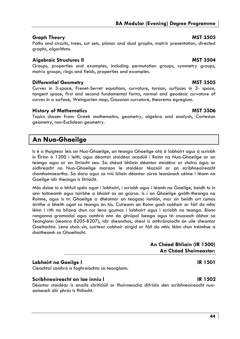## **Graph Theory MST 3503**

Paths and circuits, trees, cut sets, planar and dual graphs, matrix presentation, directed graphs, algorithms.

## **Algebraic Structures II** MST 3504

Groups, properties and examples, including permutation groups, symmetry groups, matrix groups, rings and fields, properties and examples.

## **Differential Geometry MST 3505**

Curves in 3-space, Frenet-Serret equations, curvature, torsion, surfaces in 3- space, tangent space, first and second fundamental forms, normal and geodesic curvature of curves in a surface, Weingarten map, Gaussian curvature, theorema egregium.

## **History of Mathematics** MST 3506

Topics chosen from: Greek mathematics, geometry, algebra and analysis, Cartesian geometry, non-Euclidean geometry.

## **An Nua-Ghaeilge**

Is é a thuigtear leis an Nua-Ghaeilge, an teanga Ghaeilge atá á labhairt agus á scríobh in Éirinn ó 1200 i leith, agus déantar staidéar acadúil i Roinn na Nua-Ghaeilge ar an teanga agus ar an litríocht seo. Sa chéad bhliain déantar staidéar ar chúlra agus ar oidhreacht na Nua-Ghaeilge maraon le staidéar téacsúil ar an scríbhneoireacht chomhaimseartha. Sa dara agus sa tríú bliain déantar cúrsa leanúnach céime i léann na Gaeilge idir theanga is litríocht.

Más duine tú a bhfuil spéis agat i labhairt, i scríobh agus i léamh na Gaeilge, beidh tú in ann taitneamh agus tairbhe a bhaint as an gcúrsa. Is í an Ghaeilge gnáth-theanga na Roinne, agus is trí Ghaeilge a dhéantar an teagasc iomlán, mar sin beidh ort cumas áirithe a bheith agat sa teanga ón tús. Cuireann an Roinn gach cabhair ar fáil do mhic léinn i rith na bliana chun cur lena gcumas i labhairt agus i scríobh na teanga. Bíonn ranganna gramadaí agus comhrá ann do ghrúpaí beaga agus tá cnuasach ábhar sa Teanglann (seomra B205-B207), idir sheanchas, cheol is amhránaíocht ón uile cheantar Gaeltachta. Lena chois sin, cuirtear cabhair airgid ar fáil do mhic léinn chun tréimhse a chaitheamh sa Ghaeltacht.

|  |  |  | An Chéad Bhliain (IR 1500) |
|--|--|--|----------------------------|
|  |  |  | An Chéad Sheimeastar:      |

## **Labhairt na Gaeilge I IR 1501**

Cleachtaí comhrá is foghraíochta sa teanglann.

## **Scríbhneoireacht an lae inniu I IR 1502**

Déantar staidéar is anailís chriticiúil ar fhoirmeacha difriúla den scríbhneoireacht nuaaoiseach idir phrós is fhilíocht.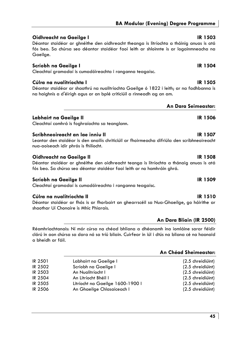## **BA Modular (Evening) Degree Programme**

## **Oidhreacht na Gaeilge I IR 1503**

Déantar staidéar ar ghnéithe den oidhreacht theanga is litríochta a tháinig anuas is atá fós beo. Sa chúrsa seo déantar staidéar faoi leith ar shloinnte is ar logainmneacha na Gaeilge.

## **Scríobh na Gaeilge I IR 1504**

Cleachtaí gramadaí is cumadóireachta i ranganna teagaisc.

## **Cúlra na nualitríochta I IR 1505**

Déantar staidéar ar shaothrú na nualitríochta Gaeilge ó 1822 i leith; ar na fadhbanna is na haighnis a d'éirigh agus ar an bplé criticiúil a rinneadh ag an am.

**An Dara Seimeastar:** 

## **Labhairt na Gaeilge II** IR 1506

Cleachtaí comhrá is foghraíochta sa teanglann.

## **Scríbhneoireacht an lae inniu II IR 1507**

Leantar den staidéar is den anailís chriticiúil ar fhoirmeacha difriúla den scríbhneoireacht nua-aoiseach idir phrós is fhilíocht.

## **Oidhreacht na Gaeilge II IR 1508**

Déantar staidéar ar ghnéithe den oidhreacht teanga is litríochta a thánaig anuas is atá fós beo. Sa chúrsa seo déantar staidéar faoi leith ar no hamhráin ghrá.

## **Scríobh na Gaeilge II IR 1509**

Cleachtaí gramadaí is cumadóireachta i ranganna teagaisc.

## **Cúlra na nualitríochta II IR 1510**

Déantar staidéar ar fhás is ar fhorbairt an ghearrscéil sa Nua-Ghaeilge, go háirithe ar shaothar Uí Chonaire is Mhic Phiarais.

## **An Dara Bliain (IR 2500)**

Réamhriachtanais: Ní mór cúrsa na chéad bhliana a dhéanamh ina iomláine sarar féidir clárú in aon chúrsa sa dara nó sa tríú bliain. Cuirfear in iúl i dtús na bliana cé na haonaid a bheidh ar fáil.

## **An Chéad Sheimeastar:**

| IR 2501 | Labhairt na Gaeilge I            | (2.5 chreidiúint) |
|---------|----------------------------------|-------------------|
| IR 2502 | Scríobh na Gaeilge I             | (2.5 chreidiúint) |
| IR 2503 | An Nualitríocht I                | (2.5 chreidiúint) |
| IR 2504 | An Litríocht Bhéil I             | (2.5 chreidiúint) |
| IR 2505 | Litríocht na Gaeilge 1600-1900 I | (2.5 chreidiúint) |
| IR 2506 | An Ghaeilge Chlasaiceach I       | (2.5 chreidiúint) |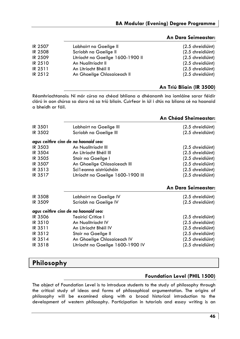## **An Dara Seimeastar:**

| IR 2507 | Labhairt na Gaeilge II            | (2.5 chreidiúint) |
|---------|-----------------------------------|-------------------|
| IR 2508 | Scríobh na Gaeilge II             | (2.5 chreidiúint) |
| IR 2509 | Litríocht na Gaeilge 1600-1900 II | (2.5 chreidiúint) |
| IR 2510 | An Nualitríocht II                | (2.5 chreidiúint) |
| IR 2511 | An Litríocht Bhéil II             | (2.5 chreidiúint) |
| IR 2512 | An Ghaeilge Chlasaiceach II       | (2.5 chreidiúint) |

## **An Tríú Bliain (IR 3500)**

**An Chéad Sheimeastar:** 

Réamhriachtanais: Ní mór cúrsa na chéad bhliana a dhéanamh ina iomláine sarar féidir clárú in aon chúrsa sa dara nó sa tríú bliain. Cuirfear in iúl i dtús na bliana cé na haonaid a bheidh ar fáil.

|                |                                      | An Chega Sheimeasian |
|----------------|--------------------------------------|----------------------|
| IR 3501        | Labhairt na Gaeilge III              | $(2.5$ chreidiúint)  |
| IR 3502        | Scríobh na Gaeilge III               | (2.5 chreidiúint)    |
|                | agus ceithre cinn de na haonaid seo: |                      |
| IR 3503        | An Nualitríocht III                  | (2.5 chreidiúint)    |
| IR 3504        | An Litríocht Bhéil III               | (2.5 chreidiúint)    |
| IR 3505        | Stair na Gaeilge I                   | (2.5 chreidiúint)    |
| IR 3507        | An Ghaeilge Chlasaiceach III         | (2.5 chreidiúint)    |
| IR 3513        | Scileanna aistriúcháin               | (2.5 chreidiúint)    |
| IR 3517        | Litríocht na Gaeilge 1600-1900 III   | (2.5 chreidiúint)    |
|                |                                      | An Dara Seimeastar:  |
| <b>IR 3508</b> | Labhairt na Gaeilge IV               | (2.5 chreidiúint)    |
| <b>IR 3509</b> | Scríobh na Gaeilge IV                | (2.5 chreidiúint)    |
|                | agus ceithre cinn de na haonaid seo: |                      |
| <b>IR 3506</b> | Teoiricí Critice I                   | (2.5 chreidiúint)    |
| IR 3510        | An Nualitríocht IV                   | (2.5 chreidiúint)    |
| IR 3511        | An Litríocht Bhéil IV                | (2.5 chreidiúint)    |
| IR 3512        | Stair na Gaeilge II                  | (2.5 chreidiúint)    |
|                |                                      |                      |
| IR 3514        | An Ghaeilge Chlasaiceach IV          | (2.5 chreidiúint)    |
| IR 3518        | Litríocht na Gaeilge 1600-1900 IV    | (2.5 chreidiúint)    |

## **Philosophy**

## **Foundation Level (PHIL 1500)**

The object of Foundation Level is to introduce students to the study of philosophy through the critical study of ideas and forms of philosophical argumentation. The origins of philosophy will be examined along with a broad historical introduction to the development of western philosophy. Participation in tutorials and essay writing is an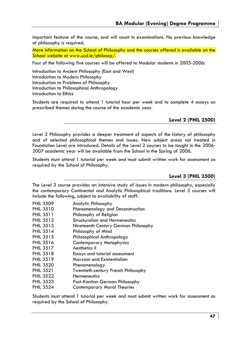important feature of the course, and will count in examinations. No previous knowledge of philosophy is required.

More information on the School of Philosophy and the courses offered is available on the School website at www.ucd.ie/philosop/.

Four of the following five courses will be offered to Modular students in 2005-2006:

Introduction to Ancient Philosophy (East and West) Introduction to Modern Philosophy Introduction to Problems of Philosophy Introduction to Philosophical Anthropology Introduction to Ethics

Students are required to attend 1 tutorial hour per week and to complete 4 essays on prescribed themes during the course of the academic year.

## **Level 2 (PHIL 2500)**

Level 2 Philosophy provides a deeper treatment of aspects of the history of philosophy and of selected philosophical themes and issues. New subject areas not treated in Foundation Level are introduced. Details of the Level 2 courses to be taught in the 2006- 2007 academic year will be available from the School in the Spring of 2006.

Students must attend 1 tutorial per week and must submit written work for assessment as required by the School of Philosophy.

## **Level 3 (PHIL 3500)**

The Level 3 course provides an intensive study of issues in modern philosophy, especially the contemporary Continental and Analytic Philosophical traditions. Level 3 courses will include the following, subject to availability of staff:

- PHIL 3509 Analytic Philosophy
- PHIL 3510 Phenomenology and Deconstruction<br>PHIL 3511 Philosophy of Religion
- Philosophy of Religion
- PHIL 3512 Structuralism and Hermeneutics
- PHIL 3513 Nineteenth Century German Philosophy
- PHIL 3514 Philosophy of Mind<br>PHIL 3515 Philosophical Anthro
- Philosophical Anthropology
- PHIL 3516 Contemporary Metaphysics
- PHIL 3517 Aesthetics II
- PHIL 3518 Essays and tutorial assessment
- PHIL 3519 Marxism and Existentialism
- PHIL 3520 Phenomenology
- PHIL 3521 Twentieth-century French Philosophy
- PHIL 3522 Hermeneutics
- PHIL 3523 Post-Kantian German Philosophy
- PHIL 3524 Contemporary Moral Theories

Students must attend 1 tutorial per week and must submit written work for assessment as required by the School of Philosophy.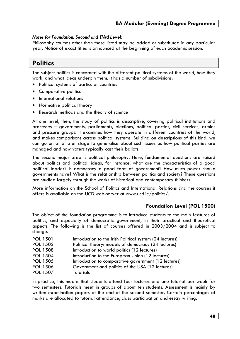## *Notes for Foundation, Second and Third Level:*

Philosophy courses other than those listed may be added or substituted in any particular year. Notice of exact titles is announced at the beginning of each academic session.

## **Politics**

The subject politics is concerned with the different political systems of the world, how they work, and what ideas underpin them. It has a number of subdivisions:

- Political systems of particular countries
- Comparative politics
- International relations
- Normative political theory
- Research methods and the theory of science

At one level, then, the study of politics is descriptive, covering political institutions and processes – governments, parliaments, elections, political parties, civil services, armies and pressure groups. It examines how they operate in different countries of the world, and makes comparisons across political systems. Building on descriptions of this kind, we can go on at a later stage to generalise about such issues as how political parties are managed and how voters typically cast their ballots.

The second major area is political philosophy. Here, fundamental questions are raised about politics and political ideas, for instance: what are the characteristics of a good political leader? Is democracy a good form of government? How much power should governments have? What is the relationship between politics and society? These questions are studied largely through the works of historical and contemporary thinkers.

More information on the School of Politics and International Relations and the courses it offers is available on the UCD web-server at www.ucd.ie/politics/.

## **Foundation Level (POL 1500)**

The object of the foundation programme is to introduce students to the main features of politics, and especially of democratic government, in their practical and theoretical aspects. The following is the list of courses offered in 2003/2004 and is subject to change.

- POL 1501 Introduction to the Irish Political system (24 lectures)
- POL 1502 Political theory: models of democracy (24 lectures)
- POL 1508 Introduction to world politics (12 lectures)
- POL 1504 Introduction to the European Union (12 lectures)
- POL 1505 Introduction to comparative government (12 lectures)
- POL 1506 Government and politics of the USA (12 lectures)
- POL 1507 Tutorials

In practice, this means that students attend four lectures and one tutorial per week for two semesters. Tutorials meet in groups of about ten students. Assessment is mainly by written examination papers at the end of the second semester. Certain percentages of marks are allocated to tutorial attendance, class participation and essay writing.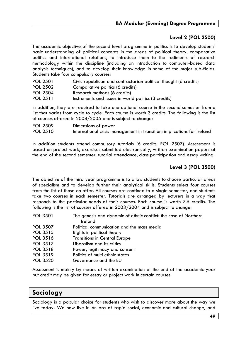## **Level 2 (POL 2500)**

The academic objective of the second level programme in politics is to develop students' basic understanding of political concepts in the areas of political theory, comparative politics and international relations, to introduce them to the rudiments of research methodology within the discipline (including an introduction to computer-based data analysis techniques), and to develop their knowledge in some of the major sub-fields. Students take four compulsory courses:

| Civic republican and contractarian political thought (6 credits) | <b>POL 2501</b> |  |  |  |  |
|------------------------------------------------------------------|-----------------|--|--|--|--|
|------------------------------------------------------------------|-----------------|--|--|--|--|

- POL 2502 Comparative politics (6 credits)
- POL 2504 Research methods (6 credits)
- POL 2511 Instruments and issues in world politics (3 credits)

In addition, they are required to take one optional course in the second semester from a list that varies from cycle to cycle. Each course is worth 3 credits. The following is the list of courses offered in 2004/2005 and is subject to change:

POL 2509 Dimensions of power POL 2510 International crisis management in transition: implications for Ireland

In addition students attend compulsory tutorials (6 credits: POL 2507). Assessment is based on project work, exercises submitted electronically, written examination papers at the end of the second semester, tutorial attendance, class participation and essay writing.

## **Level 3 (POL 3500)**

The objective of the third year programme is to allow students to choose particular areas of specialism and to develop further their analytical skills. Students select four courses from the list of those on offer. All courses are confined to a single semester, and students take two courses in each semester. Tutorials are arranged by lecturers in a way that responds to the particular needs of their courses. Each course is worth 7.5 credits. The following is the list of courses offered in 2003/2004 and is subject to change:

| <b>POL 3501</b> | The genesis and dynamic of ethnic conflict: the case of Northern<br>Ireland |
|-----------------|-----------------------------------------------------------------------------|
| <b>POL 3507</b> | Political communication and the mass media                                  |
| POL 3515        | Rights in political theory                                                  |
| <b>POL 3516</b> | <b>Transitions in Central Europe</b>                                        |
| <b>POL 3517</b> | Liberalism and its critics                                                  |
| <b>POL 3518</b> | Power, legitimacy and consent                                               |
| <b>POL 3519</b> | Politics of multi ethnic states                                             |
| <b>POL 3520</b> | Governance and the EU                                                       |

Assessment is mainly by means of written examination at the end of the academic year but credit may be given for essay or project work in certain courses.

## **Sociology**

Sociology is a popular choice for students who wish to discover more about the way we live today. We now live in an era of rapid social, economic and cultural change, and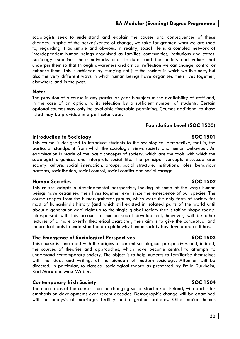sociologists seek to understand and explain the causes and consequences of these changes. In spite of the pervasiveness of change, we take for granted what we are used to, regarding it as simple and obvious. In reality, social life is a complex network of interdependent human beings organised as families, communities, institutions and states. Sociology examines these networks and structures and the beliefs and values that underpin them so that through awareness and critical reflection we can change, control or enhance them. This is achieved by studying not just the society in which we live now, but also the very different ways in which human beings have organised their lives together, elsewhere and in the past.

## **Note:**

The provision of a course in any particular year is subject to the availability of staff and, in the case of an option, to its selection by a sufficient number of students. Certain optional courses may only be available timetable permitting. Courses additional to those listed may be provided in a particular year.

## **Foundation Level (SOC 1500)**

## **Introduction to Sociology SOC 1501**

This course is designed to introduce students to the sociological perspective, that is, the particular standpoint from which the sociologist views society and human behaviour. An examination is made of the basic concepts of society, which are the tools with which the sociologist organises and interprets social life. The principal concepts discussed are: society, culture, social interaction, groups, social structure, institutions, roles, behaviour patterns, socialisation, social control, social conflict and social change.

## **Human Societies** SOC 1502

This course adopts a developmental perspective, looking at some of the ways human beings have organised their lives together ever since the emergence of our species. The course ranges from the hunter-gatherer groups, which were the only form of society for most of humankind's history (and which still existed in isolated parts of the world until about a generation ago) right up to the single global society that is taking shape today. Interspersed with this account of human social development, however, will be other lectures of a more overtly theoretical character; their aim is to give the conceptual and theoretical tools to understand and explain why human society has developed as it has.

## **The Emergence of Sociological Perspectives SOC 1503**

This course is concerned with the origins of current sociological perspectives and, indeed, the sources of theories and approaches, which have become central to attempts to understand contemporary society. The object is to help students to familiarise themselves with the ideas and writings of the pioneers of modern sociology. Attention will be directed, in particular, to classical sociological theory as presented by Emile Durkheim, Karl Marx and Max Weber.

## **Contemporary Irish Society SOC 1504**

The main focus of the course is on the changing social structure of Ireland, with particular emphasis on developments over recent decades. Demographic change will be examined with an analysis of marriage, fertility and migration patterns. Other major themes

## **50**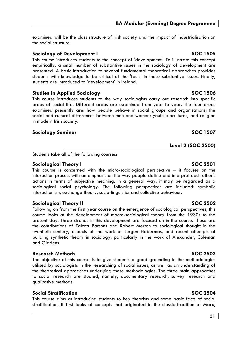examined will be the class structure of Irish society and the impact of industrialisation on the social structure.

## **Sociology of Development I** SOC 1505

This course introduces students to the concept of 'development'. To illustrate this concept empirically, a small number of substantive issues in the sociology of development are presented. A basic introduction to several fundamental theoretical approaches provides students with knowledge to be critical of the 'facts' in these substantive issues. Finally, students are introduced to 'development' in Ireland.

## **Studies in Applied Sociology SOC 1506**

This course introduces students to the way sociologists carry out research into specific areas of social life. Different areas are examined from year to year. The four areas examined presently are: how people behave in social groups and organisations; the social and cultural differences between men and women; youth subcultures; and religion in modern Irish society.

## **Sociology Seminar Social Social Society Society Society Society Society Society Society Society Society Society**

Students take all of the following courses:

## **Sociological Theory I SOC 2501**

This course is concerned with the micro-sociological perspective  $-$  it focuses on the interaction process with an emphasis on the way people define and interpret each other's actions in terms of subjective meaning. In a general way, it may be regarded as a sociological social psychology. The following perspectives are included: symbolic interactionism, exchange theory, socio-linguistics and collective behaviour.

## **Sociological Theory II** SOC 2502

Following on from the first year course on the emergence of sociological perspectives, this course looks at the development of macro-sociological theory from the 1930s to the present day. Three strands in this development are focused on in the course. These are the contributions of Talcott Parsons and Robert Merton to sociological thought in the twentieth century, aspects of the work of Jurgen Habermas, and recent attempts at building synthetic theory in sociology, particularly in the work of Alexander, Coleman and Giddens.

## **Research Methods SOC 2503**

The objective of this course is to give students a good grounding in the methodologies utilised by sociologists in the researching of social issues, as well as an understanding of the theoretical approaches underlying these methodologies. The three main approaches to social research are studied, namely, documentary research, survey research and qualitative methods.

## **Social Stratification SOC 2504**

This course aims at introducing students to key theorists and some basic facts of social stratification. It first looks at concepts that originated in the classic tradition of Marx,

## **Level 2 (SOC 2500)**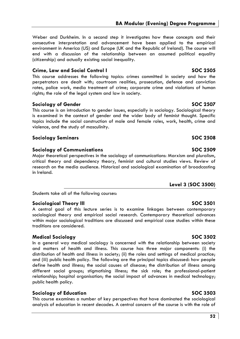Weber and Durkheim. In a second step it investigates how these concepts and their consecutive interpretation and advancement have been applied to the empirical environment in America (US) and Europe (UK and the Republic of Ireland). The course will end with a discussion of the relationship between an assumed political equality (citizenship) and actually existing social inequality.

## **Crime, Law and Social Control I SOC 2505**

This course addresses the following topics: crimes committed in society and how the perpetrators are dealt with; courtroom realities, prosecution, defence and conviction rates, police work, media treatment of crime; corporate crime and violations of human rights; the role of the legal system and law in society.

## **Sociology of Gender Sociology of Gender SOC 2507**

This course is an introduction to gender issues, especially in sociology. Sociological theory is examined in the context of gender and the wider body of feminist thought. Specific topics include the social construction of male and female roles, work, health, crime and violence, and the study of masculinity.

## **Sociology Seminars SOC 2508**

## **Sociology of Communications SOC 2509**

Major theoretical perspectives in the sociology of communications: Marxism and pluralism, critical theory and dependency theory, feminist and cultural studies views. Review of research on the media audience. Historical and sociological examination of broadcasting in Ireland.

Students take all of the following courses:

## **Sociological Theory III** SOC 3501

A central goal of this lecture series is to examine linkages between contemporary sociological theory and empirical social research. Contemporary theoretical advances within major sociological traditions are discussed and empirical case studies within these traditions are considered.

## **Medical Sociology** SOC 3502

In a general way medical sociology is concerned with the relationship between society and matters of health and illness. This course has three major components: (i) the distribution of health and illness in society; (ii) the roles and settings of medical practice; and (iii) public health policy. The following are the principal topics discussed: how people define health and illness; the social causes of disease; the distribution of illness among different social groups; stigmatising illness; the sick role; the professional-patient relationship; hospital organisation; the social impact of advances in medical technology; public health policy.

## **Sociology of Education** SOC 3503

This course examines a number of key perspectives that have dominated the sociological analysis of education in recent decades. A central concern of the course is with the role of

**Level 3 (SOC 3500)**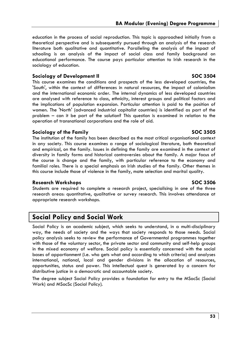education in the process of social reproduction. This topic is approached initially from a theoretical perspective and is subsequently pursued through an analysis of the research literature both qualitative and quantitative. Paralleling the analysis of the impact of schooling is an analysis of the impact of social class and family background on educational performance. The course pays particular attention to Irish research in the sociology of education.

## **Sociology of Development II** SOC 3504

This course examines the conditions and prospects of the less developed countries, the 'South', within the context of differences in natural resources, the impact of colonialism and the international economic order. The internal dynamics of less developed countries are analysed with reference to class, ethnicity, interest groups and political factors and the implications of population expansion. Particular attention is paid to the position of women. The 'North' (advanced industrial capitalist countries) is identified as part of the problem – can it be part of the solution? This question is examined in relation to the operation of transnational corporations and the role of aid.

## **Sociology of the Family SOC 3505**

The institution of the family has been described as the most critical organisational context in any society. This course examines a range of sociological literature, both theoretical and empirical, on the family. Issues in defining the family are examined in the context of diversity in family forms and historical controversies about the family. A major focus of the course is change and the family, with particular reference to the economy and familial roles. There is a special emphasis on Irish studies of the family. Other themes in this course include those of violence in the family, mate selection and marital quality.

## **Research Workshops SOC 3506**

Students are required to complete a research project, specialising in one of the three research areas: quantitative, qualitative or survey research. This involves attendance at appropriate research workshops.

## **Social Policy and Social Work**

Social Policy is an academic subject, which seeks to understand, in a multi-disciplinary way, the needs of society and the ways that society responds to those needs. Social policy analysis seeks to review the performance of Governmental programmes together with those of the voluntary sector, the private sector and community and self-help groups in the mixed economy of welfare. Social policy is essentially concerned with the social bases of apportionment (i.e. who gets what and according to which criteria) and analyses international, national, local and gender divisions in the allocation of resources, opportunities, status and power. This intellectual quest is generated by a concern for distributive justice in a democratic and accountable society.

The degree subject Social Policy provides a foundation for entry to the MSocSc (Social Work) and MSocSc (Social Policy).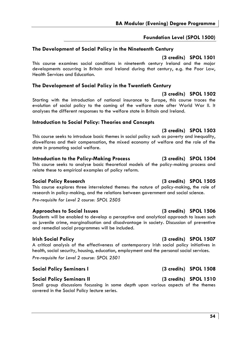## **BA Modular (Evening) Degree Programme**

## **Foundation Level (SPOL 1500)**

## **The Development of Social Policy in the Nineteenth Century**

## **(3 credits) SPOL 1501**

This course examines social conditions in nineteenth century Ireland and the major developments occurring in Britain and Ireland during that century, e.g. the Poor Law, Health Services and Education.

## **The Development of Social Policy in the Twentieth Century**

## **(3 credits) SPOL 1502**

Starting with the introduction of national insurance to Europe, this course traces the evolution of social policy to the coming of the welfare state after World War II. It analyses the different responses to the welfare state in Britain and Ireland.

## **Introduction to Social Policy: Theories and Concepts**

**(3 credits) SPOL 1503**  This course seeks to introduce basic themes in social policy such as poverty and inequality, diswelfares and their compensation, the mixed economy of welfare and the role of the state in promoting social welfare.

## **Introduction to the Policy-Making Process (3 credits) SPOL 1504**

This course seeks to analyse basic theoretical models of the policy-making process and relate these to empirical examples of policy reform.

## **Social Policy Research (3 credits) SPOL 1505**

This course explores three interrelated themes: the nature of policy-making, the role of research in policy-making, and the relations between government and social science.

*Pre-requisite for Level 2 course: SPOL 2505* 

## **Approaches to Social Issues (3 credits) SPOL 1506**

Students will be enabled to develop a perceptive and analytical approach to issues such as juvenile crime, marginalisation and disadvantage in society. Discussion of preventive and remedial social programmes will be included.

A critical analysis of the effectiveness of contemporary Irish social policy initiatives in health, social security, housing, education, employment and the personal social services.

*Pre-requisite for Level 2 course: SPOL 2501* 

## **Social Policy Seminars I (3 credits) SPOL 1508**

## **Social Policy Seminars II (3 credits) SPOL 1510**

Small group discussions focussing in some depth upon various aspects of the themes covered in the Social Policy lecture series.

## **Irish Social Policy (3 credits) SPOL 1507**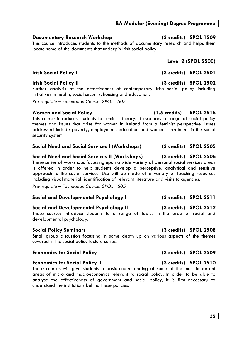## **BA Modular (Evening) Degree Programme**

## **Documentary Research Workshop (3 credits) SPOL 1509**

This course introduces students to the methods of documentary research and helps them locate some of the documents that underpin Irish social policy.

## **Irish Social Policy I (3 credits) SPOL 2501**

## **Irish Social Policy II (3 credits) SPOL 2502**

Further analysis of the effectiveness of contemporary Irish social policy including initiatives in health, social security, housing and education.

*Pre-requisite – Foundation Course: SPOL 1507* 

## **Women and Social Policy (1.5 credits) SPOL 2516**

This course introduces students to feminist theory. It explores a range of social policy themes and issues that arise for women in Ireland from a feminist perspective. Issues addressed include poverty, employment, education and women's treatment in the social security system.

## **Social Need and Social Services I (Workshops) (3 credits) SPOL 2505**

**Social Need and Social Services II (Workshops) (3 credits) SPOL 2506**  These series of workshops focussing upon a wide variety of personal social services areas is offered in order to help students develop a perceptive, analytical and sensitive approach to the social services. Use will be made of a variety of teaching resources including visual material, identification of relevant literature and visits to agencies.

*Pre-requisite – Foundation Course: SPOL 1505* 

## **Social and Developmental Psychology I (3 credits) SPOL 2511**

## **Social and Developmental Psychology II (3 credits) SPOL 2512**

These courses introduce students to a range of topics in the area of social and developmental psychology.

Small group discussion focussing in some depth up on various aspects of the themes covered in the social policy lecture series.

## **Economics for Social Policy I (3 credits) SPOL 2509**

## **Economics for Social Policy II (3 credits) SPOL 2510**

These courses will give students a basic understanding of some of the most important areas of micro and macroeconomics relevant to social policy. In order to be able to analyse the effectiveness of government and social policy, it is first necessary to understand the institutions behind these policies.

**Level 2 (SPOL 2500)** 

## **Social Policy Seminars (3 credits) SPOL 2508**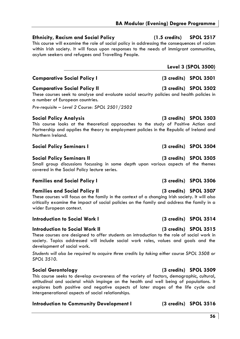## **Ethnicity, Racism and Social Policy (1.5 credits) SPOL 2517**

This course will examine the role of social policy in addressing the consequences of racism within Irish society. It will focus upon responses to the needs of immigrant communities, asylum seekers and refugees and Travelling People.

| <b>Comparative Social Policy I</b> |  |  |
|------------------------------------|--|--|
|                                    |  |  |

## **Comparative Social Policy II (3 credits) SPOL 3502**

These courses seek to analyse and evaluate social security policies and health policies in a number of European countries.

*Pre-requisite – Level 2 Course: SPOL 2501/2502* 

## **Social Policy Analysis (3 credits) SPOL 3503**

This course looks at the theoretical approaches to the study of Positive Action and Partnership and applies the theory to employment policies in the Republic of Ireland and Northern Ireland.

## **Social Policy Seminars I (3 credits) SPOL 3504**

## **Social Policy Seminars II (3 credits) SPOL 3505**

Small group discussions focussing in some depth upon various aspects of the themes covered in the Social Policy lecture series.

## **Families and Social Policy I (3 credits) SPOL 3506**

## **Families and Social Policy II (3 credits) SPOL 3507**

These courses will focus on the family in the context of a changing Irish society. It will also critically examine the impact of social policies on the family and address the family in a wider European context.

## **Introduction to Social Work I (3 credits) SPOL 3514**

## **Introduction to Social Work II (3 credits) SPOL 3515**

These courses are designed to offer students an introduction to the role of social work in society. Topics addressed will include social work roles, values and goals and the development of social work.

*Students will also be required to acquire three credits by taking either course SPOL 3508 or SPOL 3510.* 

This course seeks to develop awareness of the variety of factors, demographic, cultural, attitudinal and societal which impinge on the health and well being of populations. It explores both positive and negative aspects of later stages of the life cycle and intergenerational aspects of social relationships.

## **Introduction to Community Development I (3 credits) SPOL 3516**

## **Level 3 (SPOL 3500)**

## **Comparative Social Policy I (3 credits) SPOL 3501**

## **Social Gerontology (3 credits) SPOL 3509**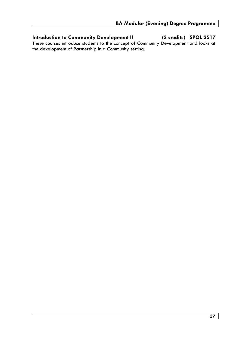**Introduction to Community Development II (3 credits) SPOL 3517**  These courses introduce students to the concept of Community Development and looks at the development of Partnership in a Community setting.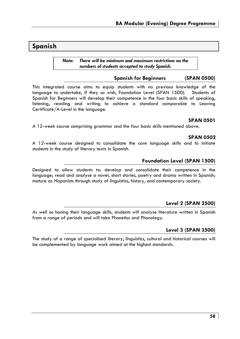## **Spanish**

*Note: There will be minimum and maximum restrictions on the numbers of students accepted to study Spanish.* 

## **Spanish for Beginners (SPAN 0500)**

This integrated course aims to equip students with no previous knowledge of the language to undertake, if they so wish, Foundation Level (SPAN 1500). Students of Spanish for Beginners will develop their competence in the four basic skills of speaking, listening, reading and writing to achieve a standard comparable to Leaving Certificate/A-Level in the language.

## **SPAN 0501**

A 12-week course comprising grammar and the four basic skills mentioned above.

## **SPAN 0502**

A 12-week course designed to consolidate the core language skills and to initiate students in the study of literary texts in Spanish.

## **Foundation Level (SPAN 1500)**

Designed to allow students to: develop and consolidate their competence in the language; read and analyse a novel, short stories, poetry and drama written in Spanish; mature as Hispanists through study of linguistics, history, and contemporary society.

## **Level 2 (SPAN 2500)**

As well as honing their language skills, students will analyse literature written in Spanish from a range of periods and will take Phonetics and Phonology.

## **Level 3 (SPAN 3500)**

The study of a range of specialised literary, linguistics, cultural and historical courses will be complemented by language work aimed at the highest standards.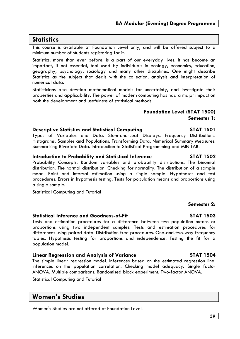## **Statistics**

This course is available at Foundation Level only, and will be offered subject to a minimum number of students registering for it.

Statistics, more than ever before, is a part of our everyday lives. It has become an important, if not essential, tool used by individuals in ecology, economics, education, geography, psychology, sociology and many other disciplines. One might describe Statistics as the subject that deals with the collection, analysis and interpretation of numerical data.

Statisticians also develop mathematical models for uncertainty, and investigate their properties and applicability. The power of modern computing has had a major impact on both the development and usefulness of statistical methods.

## **Foundation Level (STAT 1500) Semester 1:**

## **Descriptive Statistics and Statistical Computing STAT 1501**

Types of Variables and Data. Stem-and-Leaf Displays. Frequency Distributions. Histograms. Samples and Populations. Transforming Data. Numerical Summary Measures. Summarising Bivariate Data. Introduction to Statistical Programming and MINITAB.

## **Introduction to Probability and Statistical Inference STAT 1502**

Probability Concepts. Random variables and probability distributions. The binomial distribution. The normal distribution. Checking for normality. The distribution of a sample mean. Point and interval estimation using a single sample. Hypotheses and test procedures. Errors in hypothesis testing. Tests for population means and proportions using a single sample.

Statistical Computing and Tutorial

## **Statistical Inference and Goodness-of-Fit** STAT 1503

Tests and estimation procedures for a difference between two population means or proportions using two independent samples. Tests and estimation procedures for differences using paired data. Distribution free procedures. One-and-two-way frequency tables. Hypothesis testing for proportions and independence. Testing the fit for a population model.

## **Linear Regression and Analysis of Variance STAT 1504**

The simple linear regression model. Inferences based on the estimated regression line. Inferences on the population correlation. Checking model adequacy. Single factor ANOVA. Multiple comparisons. Randomised block experiment. Two-factor ANOVA.

Statistical Computing and Tutorial

## **Women's Studies**

Women's Studies are not offered at Foundation Level.

## **Semester 2:**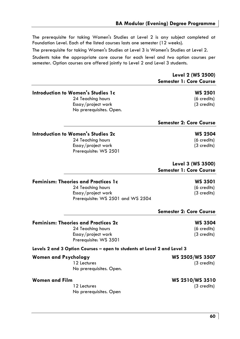The prerequisite for taking Women's Studies at Level 2 is any subject completed at Foundation Level. Each of the listed courses lasts one semester (12 weeks).

The prerequisite for taking Women's Studies at Level 3 is Women's Studies at Level 2.

Students take the appropriate core course for each level and *two* option courses per semester. Option courses are offered jointly to Level 2 and Level 3 students.

|                             |                                                                                                                            | Level 2 (WS 2500)<br><b>Semester 1: Core Course</b> |
|-----------------------------|----------------------------------------------------------------------------------------------------------------------------|-----------------------------------------------------|
|                             | <b>Introduction to Women's Studies 1c</b><br>24 Teaching hours<br>Essay/project work<br>No prerequisites. Open.            | <b>WS 2501</b><br>(6 credits)<br>(3 credits)        |
|                             |                                                                                                                            | <b>Semester 2: Core Course</b>                      |
|                             | <b>Introduction to Women's Studies 2c</b><br>24 Teaching hours<br>Essay/project work<br>Prerequisite: WS 2501              | <b>WS 2504</b><br>(6 credits)<br>(3 credits)        |
|                             |                                                                                                                            | Level 3 (WS 3500)<br><b>Semester 1: Core Course</b> |
|                             | <b>Feminism: Theories and Practices 1c</b><br>24 Teaching hours<br>Essay/project work<br>Prerequisite: WS 2501 and WS 2504 | <b>WS 3501</b><br>(6 credits)<br>(3 credits)        |
|                             |                                                                                                                            | <b>Semester 2: Core Course</b>                      |
|                             | <b>Feminism: Theories and Practices 2c</b><br>24 Teaching hours<br>Essay/project work<br>Prerequisite: WS 3501             | <b>WS 3504</b><br>(6 credits)<br>(3 credits)        |
|                             | Levels 2 and 3 Option Courses – open to students at Level 2 and Level 3                                                    |                                                     |
| <b>Women and Psychology</b> | 12 Lectures<br>No prerequisites. Open.                                                                                     | WS 2505/WS 3507<br>(3 credits)                      |
| <b>Women and Film</b>       | 12 Lectures<br>No prerequisites. Open                                                                                      | WS 2510/WS 3510<br>(3 credits)                      |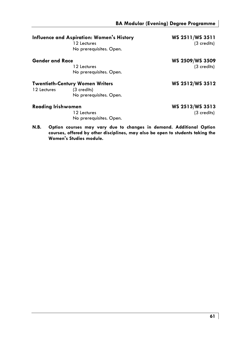| <b>Influence and Aspiration: Women's History</b><br>12 Lectures<br>No prerequisites. Open.      |                                        | WS 2511/WS 3511<br>(3 credits) |
|-------------------------------------------------------------------------------------------------|----------------------------------------|--------------------------------|
| <b>Gender and Race</b>                                                                          | 12 Lectures<br>No prerequisites. Open. | WS 2509/WS 3509<br>(3 credits) |
| <b>Twentieth-Century Women Writers</b><br>12 Lectures<br>(3 credits)<br>No prerequisites. Open. |                                        | WS 2512/WS 3512                |
| Reading Irishwomen                                                                              | 12 Lectures<br>No prerequisites. Open. | WS 2513/WS 3513<br>(3 credits) |

**N.B. Option courses may vary due to changes in demand. Additional Option courses, offered by other disciplines, may also be open to students taking the Women's Studies module.**